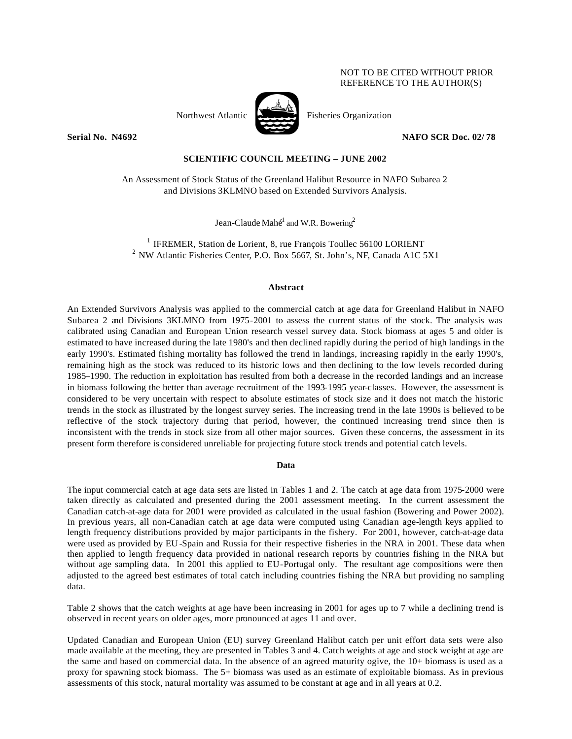## NOT TO BE CITED WITHOUT PRIOR REFERENCE TO THE AUTHOR(S)



Northwest Atlantic Fisheries Organization

**Serial No. 14692 NAFO SCR Doc. 02/78** 

# **SCIENTIFIC COUNCIL MEETING – JUNE 2002**

An Assessment of Stock Status of the Greenland Halibut Resource in NAFO Subarea 2 and Divisions 3KLMNO based on Extended Survivors Analysis.

Jean-Claude Mahé $^1$  and W.R. Bowering<sup>2</sup>

 $1$  IFREMER, Station de Lorient, 8, rue François Toullec 56100 LORIENT <sup>2</sup> NW Atlantic Fisheries Center, P.O. Box 5667, St. John's, NF, Canada A1C 5X1

## **Abstract**

An Extended Survivors Analysis was applied to the commercial catch at age data for Greenland Halibut in NAFO Subarea 2 and Divisions 3KLMNO from 1975-2001 to assess the current status of the stock. The analysis was calibrated using Canadian and European Union research vessel survey data. Stock biomass at ages 5 and older is estimated to have increased during the late 1980's and then declined rapidly during the period of high landings in the early 1990's. Estimated fishing mortality has followed the trend in landings, increasing rapidly in the early 1990's, remaining high as the stock was reduced to its historic lows and then declining to the low levels recorded during 1985–1990. The reduction in exploitation has resulted from both a decrease in the recorded landings and an increase in biomass following the better than average recruitment of the 1993-1995 year-classes. However, the assessment is considered to be very uncertain with respect to absolute estimates of stock size and it does not match the historic trends in the stock as illustrated by the longest survey series. The increasing trend in the late 1990s is believed to be reflective of the stock trajectory during that period, however, the continued increasing trend since then is inconsistent with the trends in stock size from all other major sources. Given these concerns, the assessment in its present form therefore is considered unreliable for projecting future stock trends and potential catch levels.

#### **Data**

The input commercial catch at age data sets are listed in Tables 1 and 2. The catch at age data from 1975-2000 were taken directly as calculated and presented during the 2001 assessment meeting. In the current assessment the Canadian catch-at-age data for 2001 were provided as calculated in the usual fashion (Bowering and Power 2002). In previous years, all non-Canadian catch at age data were computed using Canadian age-length keys applied to length frequency distributions provided by major participants in the fishery. For 2001, however, catch-at-age data were used as provided by EU -Spain and Russia for their respective fisheries in the NRA in 2001. These data when then applied to length frequency data provided in national research reports by countries fishing in the NRA but without age sampling data. In 2001 this applied to EU-Portugal only. The resultant age compositions were then adjusted to the agreed best estimates of total catch including countries fishing the NRA but providing no sampling data.

Table 2 shows that the catch weights at age have been increasing in 2001 for ages up to 7 while a declining trend is observed in recent years on older ages, more pronounced at ages 11 and over.

Updated Canadian and European Union (EU) survey Greenland Halibut catch per unit effort data sets were also made available at the meeting, they are presented in Tables 3 and 4. Catch weights at age and stock weight at age are the same and based on commercial data. In the absence of an agreed maturity ogive, the 10+ biomass is used as a proxy for spawning stock biomass. The 5+ biomass was used as an estimate of exploitable biomass. As in previous assessments of this stock, natural mortality was assumed to be constant at age and in all years at 0.2.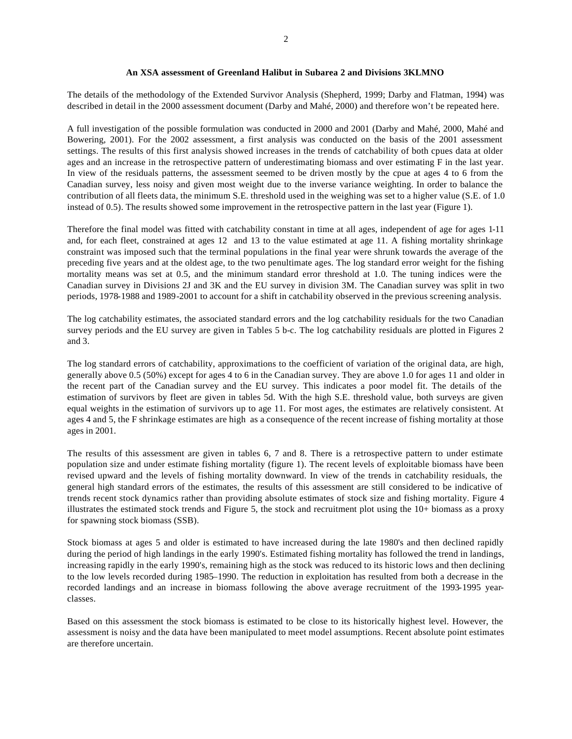## **An XSA assessment of Greenland Halibut in Subarea 2 and Divisions 3KLMNO**

The details of the methodology of the Extended Survivor Analysis (Shepherd, 1999; Darby and Flatman, 1994) was described in detail in the 2000 assessment document (Darby and Mahé, 2000) and therefore won't be repeated here.

A full investigation of the possible formulation was conducted in 2000 and 2001 (Darby and Mahé, 2000, Mahé and Bowering, 2001). For the 2002 assessment, a first analysis was conducted on the basis of the 2001 assessment settings. The results of this first analysis showed increases in the trends of catchability of both cpues data at older ages and an increase in the retrospective pattern of underestimating biomass and over estimating F in the last year. In view of the residuals patterns, the assessment seemed to be driven mostly by the cpue at ages 4 to 6 from the Canadian survey, less noisy and given most weight due to the inverse variance weighting. In order to balance the contribution of all fleets data, the minimum S.E. threshold used in the weighing was set to a higher value (S.E. of 1.0 instead of 0.5). The results showed some improvement in the retrospective pattern in the last year (Figure 1).

Therefore the final model was fitted with catchability constant in time at all ages, independent of age for ages 1-11 and, for each fleet, constrained at ages 12 and 13 to the value estimated at age 11. A fishing mortality shrinkage constraint was imposed such that the terminal populations in the final year were shrunk towards the average of the preceding five years and at the oldest age, to the two penultimate ages. The log standard error weight for the fishing mortality means was set at 0.5, and the minimum standard error threshold at 1.0. The tuning indices were the Canadian survey in Divisions 2J and 3K and the EU survey in division 3M. The Canadian survey was split in two periods, 1978-1988 and 1989-2001 to account for a shift in catchability observed in the previous screening analysis.

The log catchability estimates, the associated standard errors and the log catchability residuals for the two Canadian survey periods and the EU survey are given in Tables 5 b-c. The log catchability residuals are plotted in Figures 2 and 3.

The log standard errors of catchability, approximations to the coefficient of variation of the original data, are high, generally above 0.5 (50%) except for ages 4 to 6 in the Canadian survey. They are above 1.0 for ages 11 and older in the recent part of the Canadian survey and the EU survey. This indicates a poor model fit. The details of the estimation of survivors by fleet are given in tables 5d. With the high S.E. threshold value, both surveys are given equal weights in the estimation of survivors up to age 11. For most ages, the estimates are relatively consistent. At ages 4 and 5, the F shrinkage estimates are high as a consequence of the recent increase of fishing mortality at those ages in 2001.

The results of this assessment are given in tables 6, 7 and 8. There is a retrospective pattern to under estimate population size and under estimate fishing mortality (figure 1). The recent levels of exploitable biomass have been revised upward and the levels of fishing mortality downward. In view of the trends in catchability residuals, the general high standard errors of the estimates, the results of this assessment are still considered to be indicative of trends recent stock dynamics rather than providing absolute estimates of stock size and fishing mortality. Figure 4 illustrates the estimated stock trends and Figure 5, the stock and recruitment plot using the 10+ biomass as a proxy for spawning stock biomass (SSB).

Stock biomass at ages 5 and older is estimated to have increased during the late 1980's and then declined rapidly during the period of high landings in the early 1990's. Estimated fishing mortality has followed the trend in landings, increasing rapidly in the early 1990's, remaining high as the stock was reduced to its historic lows and then declining to the low levels recorded during 1985–1990. The reduction in exploitation has resulted from both a decrease in the recorded landings and an increase in biomass following the above average recruitment of the 1993-1995 yearclasses.

Based on this assessment the stock biomass is estimated to be close to its historically highest level. However, the assessment is noisy and the data have been manipulated to meet model assumptions. Recent absolute point estimates are therefore uncertain.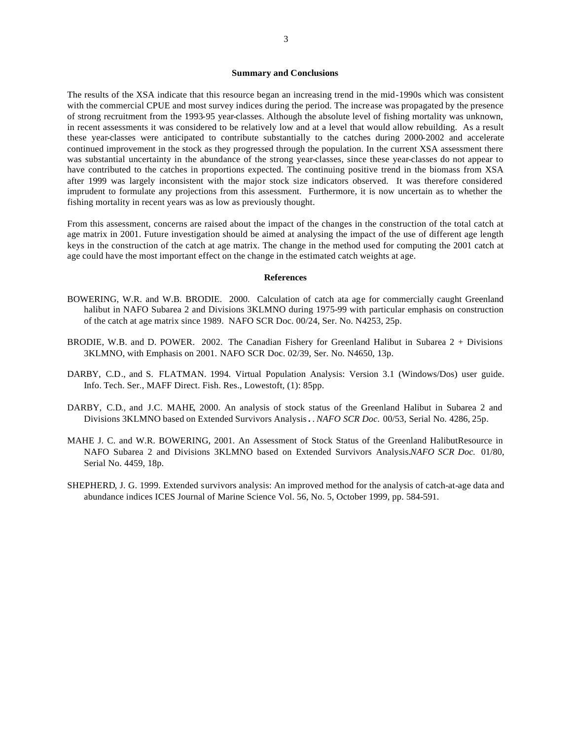#### **Summary and Conclusions**

The results of the XSA indicate that this resource began an increasing trend in the mid-1990s which was consistent with the commercial CPUE and most survey indices during the period. The increase was propagated by the presence of strong recruitment from the 1993-95 year-classes. Although the absolute level of fishing mortality was unknown, in recent assessments it was considered to be relatively low and at a level that would allow rebuilding. As a result these year-classes were anticipated to contribute substantially to the catches during 2000-2002 and accelerate continued improvement in the stock as they progressed through the population. In the current XSA assessment there was substantial uncertainty in the abundance of the strong year-classes, since these year-classes do not appear to have contributed to the catches in proportions expected. The continuing positive trend in the biomass from XSA after 1999 was largely inconsistent with the major stock size indicators observed. It was therefore considered imprudent to formulate any projections from this assessment. Furthermore, it is now uncertain as to whether the fishing mortality in recent years was as low as previously thought.

From this assessment, concerns are raised about the impact of the changes in the construction of the total catch at age matrix in 2001. Future investigation should be aimed at analysing the impact of the use of different age length keys in the construction of the catch at age matrix. The change in the method used for computing the 2001 catch at age could have the most important effect on the change in the estimated catch weights at age.

#### **References**

- BOWERING, W.R. and W.B. BRODIE. 2000. Calculation of catch ata age for commercially caught Greenland halibut in NAFO Subarea 2 and Divisions 3KLMNO during 1975-99 with particular emphasis on construction of the catch at age matrix since 1989. NAFO SCR Doc. 00/24, Ser. No. N4253, 25p.
- BRODIE, W.B. and D. POWER. 2002. The Canadian Fishery for Greenland Halibut in Subarea 2 + Divisions 3KLMNO, with Emphasis on 2001. NAFO SCR Doc. 02/39, Ser. No. N4650, 13p.
- DARBY, C.D., and S. FLATMAN. 1994. Virtual Population Analysis: Version 3.1 (Windows/Dos) user guide. Info. Tech. Ser., MAFF Direct. Fish. Res., Lowestoft, (1): 85pp.
- DARBY, C.D., and J.C. MAHE, 2000. An analysis of stock status of the Greenland Halibut in Subarea 2 and Divisions 3KLMNO based on Extended Survivors Analysis**.** . *NAFO SCR Doc.* 00/53, Serial No. 4286, 25p.
- MAHE J. C. and W.R. BOWERING, 2001. An Assessment of Stock Status of the Greenland HalibutResource in NAFO Subarea 2 and Divisions 3KLMNO based on Extended Survivors Analysis.*NAFO SCR Doc.* 01/80, Serial No. 4459, 18p.
- SHEPHERD, J. G. 1999. Extended survivors analysis: An improved method for the analysis of catch-at-age data and abundance indices ICES Journal of Marine Science Vol. 56, No. 5, October 1999, pp. 584-591.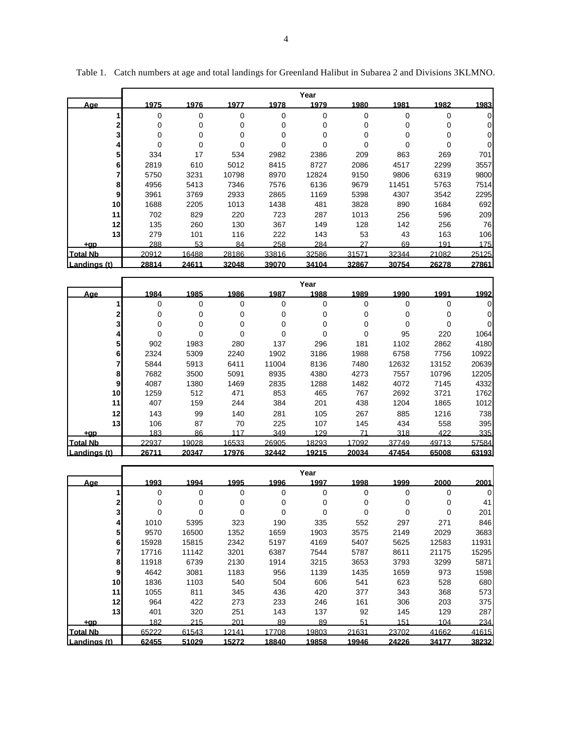|                 |       |       |       |       | Year     |       |          |       |       |
|-----------------|-------|-------|-------|-------|----------|-------|----------|-------|-------|
| <u>Aae</u>      | 1975  | 1976  | 1977  | 1978  | 1979     | 1980  | 1981     | 1982  | 1983  |
|                 | 0     | 0     | 0     | 0     | 0        | 0     | $\Omega$ | 0     | 0     |
|                 | 0     | 0     | 0     | 0     | 0        | 0     | 0        | 0     | 0     |
| 31              | 0     | 0     | 0     | 0     | 0        | 0     | 0        | 0     | 0     |
| 4               | 0     | 0     | 0     | 0     | $\Omega$ | 0     | 0        | 0     | 0     |
| 5               | 334   | 17    | 534   | 2982  | 2386     | 209   | 863      | 269   | 701   |
| 6               | 2819  | 610   | 5012  | 8415  | 8727     | 2086  | 4517     | 2299  | 3557  |
|                 | 5750  | 3231  | 10798 | 8970  | 12824    | 9150  | 9806     | 6319  | 9800  |
| 8               | 4956  | 5413  | 7346  | 7576  | 6136     | 9679  | 11451    | 5763  | 7514  |
| 9               | 3961  | 3769  | 2933  | 2865  | 1169     | 5398  | 4307     | 3542  | 2295  |
| 10 <sub>l</sub> | 1688  | 2205  | 1013  | 1438  | 481      | 3828  | 890      | 1684  | 692   |
| 11              | 702   | 829   | 220   | 723   | 287      | 1013  | 256      | 596   | 209   |
| 12              | 135   | 260   | 130   | 367   | 149      | 128   | 142      | 256   | 76    |
| 13 <sup>1</sup> | 279   | 101   | 116   | 222   | 143      | 53    | 43       | 163   | 106   |
| +ap             | 288   | 53    | 84    | 258   | 284      | 27    | 69       | 191   | 175   |
| <b>Total Nb</b> | 20912 | 16488 | 28186 | 33816 | 32586    | 31571 | 32344    | 21082 | 25125 |
| Landings (t)    | 28814 | 24611 | 32048 | 39070 | 34104    | 32867 | 30754    | 26278 | 27861 |

Table 1. Catch numbers at age and total landings for Greenland Halibut in Subarea 2 and Divisions 3KLMNO.

|                 |             |          |       |       | Year  |       |       |       |       |
|-----------------|-------------|----------|-------|-------|-------|-------|-------|-------|-------|
| <u>Aae</u>      | 1984        | 1985     | 1986  | 1987  | 1988  | 1989  | 1990  | 1991  | 1992  |
|                 | 0           | 0        | 0     | 0     | 0     | 0     | 0     | 0     | 0     |
| 2               | $\mathbf 0$ | $\Omega$ | 0     | 0     | 0     | 0     | 0     | 0     | 0     |
| 3               | 0           | $\Omega$ | 0     | 0     | 0     | 0     | 0     | 0     | 0     |
| 4               | 0           | 0        | 0     | 0     | 0     | 0     | 95    | 220   | 1064  |
| 5               | 902         | 1983     | 280   | 137   | 296   | 181   | 1102  | 2862  | 4180  |
| 6               | 2324        | 5309     | 2240  | 1902  | 3186  | 1988  | 6758  | 7756  | 10922 |
|                 | 5844        | 5913     | 6411  | 11004 | 8136  | 7480  | 12632 | 13152 | 20639 |
| 8               | 7682        | 3500     | 5091  | 8935  | 4380  | 4273  | 7557  | 10796 | 12205 |
| 9               | 4087        | 1380     | 1469  | 2835  | 1288  | 1482  | 4072  | 7145  | 4332  |
| 10              | 1259        | 512      | 471   | 853   | 465   | 767   | 2692  | 3721  | 1762  |
| 11              | 407         | 159      | 244   | 384   | 201   | 438   | 1204  | 1865  | 1012  |
| 12              | 143         | 99       | 140   | 281   | 105   | 267   | 885   | 1216  | 738   |
| 13              | 106         | 87       | 70    | 225   | 107   | 145   | 434   | 558   | 395   |
| +ap             | 183         | 86       | 117   | 349   | 129   | 71    | 318   | 422   | 335   |
| <b>Total Nb</b> | 22937       | 19028    | 16533 | 26905 | 18293 | 17092 | 37749 | 49713 | 57584 |
| Landings (t)    | 26711       | 20347    | 17976 | 32442 | 19215 | 20034 | 47454 | 65008 | 63193 |

|                 |       |       |       |       | Year  |       |          |       |          |
|-----------------|-------|-------|-------|-------|-------|-------|----------|-------|----------|
| <u>Aae</u>      | 1993  | 1994  | 1995  | 1996  | 1997  | 1998  | 1999     | 2000  | 2001     |
|                 | 0     | 0     | 0     | 0     | 0     | 0     | $\Omega$ | 0     | $\Omega$ |
| $\mathbf{2}$    | 0     | 0     | 0     | 0     | 0     | 0     | 0        | 0     | 41       |
| 3               | 0     | 0     | 0     | 0     | 0     | 0     | 0        | 0     | 201      |
|                 | 1010  | 5395  | 323   | 190   | 335   | 552   | 297      | 271   | 846      |
| 5               | 9570  | 16500 | 1352  | 1659  | 1903  | 3575  | 2149     | 2029  | 3683     |
| 61              | 15928 | 15815 | 2342  | 5197  | 4169  | 5407  | 5625     | 12583 | 11931    |
|                 | 17716 | 11142 | 3201  | 6387  | 7544  | 5787  | 8611     | 21175 | 15295    |
| 8               | 11918 | 6739  | 2130  | 1914  | 3215  | 3653  | 3793     | 3299  | 5871     |
| 9               | 4642  | 3081  | 1183  | 956   | 1139  | 1435  | 1659     | 973   | 1598     |
| 10 <sub>l</sub> | 1836  | 1103  | 540   | 504   | 606   | 541   | 623      | 528   | 680      |
| 11              | 1055  | 811   | 345   | 436   | 420   | 377   | 343      | 368   | 573      |
| 12              | 964   | 422   | 273   | 233   | 246   | 161   | 306      | 203   | 375      |
| 13 <sup>1</sup> | 401   | 320   | 251   | 143   | 137   | 92    | 145      | 129   | 287      |
| +ap             | 182   | 215   | 201   | 89    | 89    | 51    | 151      | 104   | 234      |
| <b>Total Nb</b> | 65222 | 61543 | 12141 | 17708 | 19803 | 21631 | 23702    | 41662 | 41615    |
| Landings (t)    | 62455 | 51029 | 15272 | 18840 | 19858 | 19946 | 24226    | 34177 | 38232    |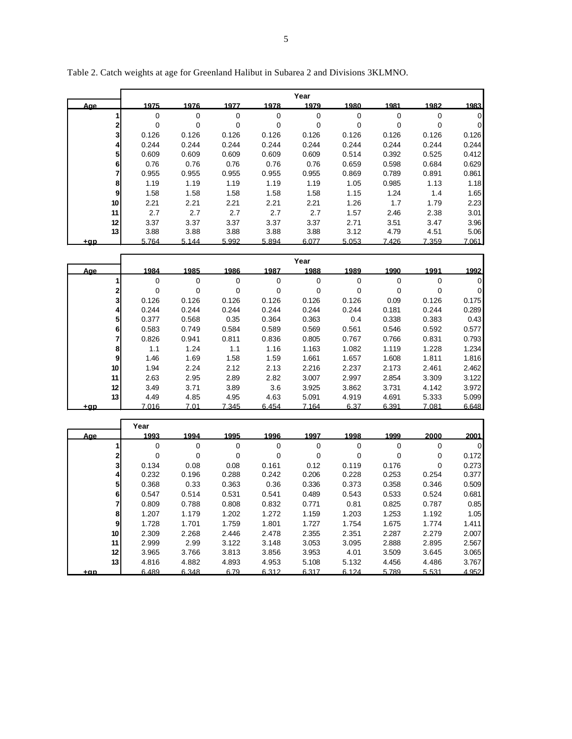|                 |            |          |       |       | Year  |       |          |          |                |
|-----------------|------------|----------|-------|-------|-------|-------|----------|----------|----------------|
| Aae             | 1975       | 1976     | 1977  | 1978  | 1979  | 1980  | 1981     | 1982     | 1983           |
|                 | 0          | $\Omega$ | 0     | 0     | 0     | 0     | $\Omega$ | $\Omega$ | $\overline{0}$ |
| $\overline{2}$  | 0          | 0        | 0     | 0     | 0     | 0     | 0        | $\Omega$ | $\overline{0}$ |
| 3               | 0.126      | 0.126    | 0.126 | 0.126 | 0.126 | 0.126 | 0.126    | 0.126    | 0.126          |
| 4               | 0.244      | 0.244    | 0.244 | 0.244 | 0.244 | 0.244 | 0.244    | 0.244    | 0.244          |
|                 | 5<br>0.609 | 0.609    | 0.609 | 0.609 | 0.609 | 0.514 | 0.392    | 0.525    | 0.412          |
|                 | 6<br>0.76  | 0.76     | 0.76  | 0.76  | 0.76  | 0.659 | 0.598    | 0.684    | 0.629          |
| 7               | 0.955      | 0.955    | 0.955 | 0.955 | 0.955 | 0.869 | 0.789    | 0.891    | 0.861          |
|                 | 8<br>1.19  | 1.19     | 1.19  | 1.19  | 1.19  | 1.05  | 0.985    | 1.13     | 1.18           |
| 9               | 1.58       | 1.58     | 1.58  | 1.58  | 1.58  | 1.15  | 1.24     | 1.4      | 1.65           |
| 10 <sup>1</sup> | 2.21       | 2.21     | 2.21  | 2.21  | 2.21  | 1.26  | 1.7      | 1.79     | 2.23           |
| 11              | 2.7        | 2.7      | 2.7   | 2.7   | 2.7   | 1.57  | 2.46     | 2.38     | 3.01           |
| 12              | 3.37       | 3.37     | 3.37  | 3.37  | 3.37  | 2.71  | 3.51     | 3.47     | 3.96           |
| 13              | 3.88       | 3.88     | 3.88  | 3.88  | 3.88  | 3.12  | 4.79     | 4.51     | 5.06           |
| <u>tap</u>      | 5.764      | 5.144    | 5.992 | 5.894 | 6.077 | 5.053 | 7.426    | 7.359    | 7.061          |

Table 2. Catch weights at age for Greenland Halibut in Subarea 2 and Divisions 3KLMNO.

**r** 

|     |                 |       |       |       |       | Year  |       |       |       |       |
|-----|-----------------|-------|-------|-------|-------|-------|-------|-------|-------|-------|
|     | <u>Aae</u>      | 1984  | 1985  | 1986  | 1987  | 1988  | 1989  | 1990  | 1991  | 1992  |
|     |                 | 0     | 0     | 0     | 0     | 0     | 0     | 0     | 0     | 0     |
|     | 2               | 0     | 0     | 0     | 0     | 0     | 0     | 0     | 0     | 0     |
|     | 3               | 0.126 | 0.126 | 0.126 | 0.126 | 0.126 | 0.126 | 0.09  | 0.126 | 0.175 |
|     |                 | 0.244 | 0.244 | 0.244 | 0.244 | 0.244 | 0.244 | 0.181 | 0.244 | 0.289 |
|     | 51              | 0.377 | 0.568 | 0.35  | 0.364 | 0.363 | 0.4   | 0.338 | 0.383 | 0.43  |
|     | 6               | 0.583 | 0.749 | 0.584 | 0.589 | 0.569 | 0.561 | 0.546 | 0.592 | 0.577 |
|     |                 | 0.826 | 0.941 | 0.811 | 0.836 | 0.805 | 0.767 | 0.766 | 0.831 | 0.793 |
|     | 8               | 1.1   | 1.24  | 1.1   | 1.16  | 1.163 | 1.082 | 1.119 | 1.228 | 1.234 |
|     | 9               | 1.46  | 1.69  | 1.58  | 1.59  | 1.661 | 1.657 | 1.608 | 1.811 | 1.816 |
|     | 10 <sup>1</sup> | 1.94  | 2.24  | 2.12  | 2.13  | 2.216 | 2.237 | 2.173 | 2.461 | 2.462 |
|     | 11              | 2.63  | 2.95  | 2.89  | 2.82  | 3.007 | 2.997 | 2.854 | 3.309 | 3.122 |
|     | 12 <sup>1</sup> | 3.49  | 3.71  | 3.89  | 3.6   | 3.925 | 3.862 | 3.731 | 4.142 | 3.972 |
|     | 13              | 4.49  | 4.85  | 4.95  | 4.63  | 5.091 | 4.919 | 4.691 | 5.333 | 5.099 |
| +ap |                 | 7.016 | 7.01  | 7.345 | 6.454 | 7.164 | 6.37  | 6.391 | 7.081 | 6.648 |

l,

|                 | Year  |          |       |       |       |             |          |             |                |
|-----------------|-------|----------|-------|-------|-------|-------------|----------|-------------|----------------|
| <u>Aae</u>      | 1993  | 1994     | 1995  | 1996  | 1997  | 1998        | 1999     | 2000        | 2001           |
|                 | 0     | 0        | 0     | 0     | 0     | 0           | 0        | $\mathbf 0$ | $\overline{0}$ |
| 2               | 0     | $\Omega$ | 0     | 0     | 0     | $\mathbf 0$ | $\Omega$ | $\Omega$    | 0.172          |
| 3               | 0.134 | 0.08     | 0.08  | 0.161 | 0.12  | 0.119       | 0.176    | $\Omega$    | 0.273          |
| 41              | 0.232 | 0.196    | 0.288 | 0.242 | 0.206 | 0.228       | 0.253    | 0.254       | 0.377          |
| 51              | 0.368 | 0.33     | 0.363 | 0.36  | 0.336 | 0.373       | 0.358    | 0.346       | 0.509          |
| 61              | 0.547 | 0.514    | 0.531 | 0.541 | 0.489 | 0.543       | 0.533    | 0.524       | 0.681          |
|                 | 0.809 | 0.788    | 0.808 | 0.832 | 0.771 | 0.81        | 0.825    | 0.787       | 0.85           |
| 8               | 1.207 | 1.179    | 1.202 | 1.272 | 1.159 | 1.203       | 1.253    | 1.192       | 1.05           |
| 9               | 1.728 | 1.701    | 1.759 | 1.801 | 1.727 | 1.754       | 1.675    | 1.774       | 1.411          |
| 10 <sub>l</sub> | 2.309 | 2.268    | 2.446 | 2.478 | 2.355 | 2.351       | 2.287    | 2.279       | 2.007          |
| 11              | 2.999 | 2.99     | 3.122 | 3.148 | 3.053 | 3.095       | 2.888    | 2.895       | 2.567          |
| 12 <sub>1</sub> | 3.965 | 3.766    | 3.813 | 3.856 | 3.953 | 4.01        | 3.509    | 3.645       | 3.065          |
| 13 <sup>1</sup> | 4.816 | 4.882    | 4.893 | 4.953 | 5.108 | 5.132       | 4.456    | 4.486       | 3.767          |
| +ap             | 6.489 | 6.348    | 6.79  | 6.312 | 6.317 | 6.124       | 5.789    | 5.531       | 4.952          |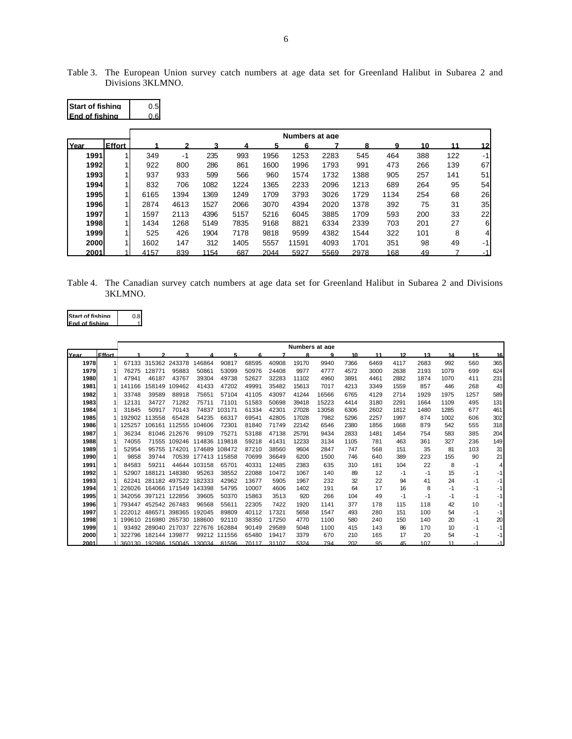| Table 3. The European Union survey catch numbers at age data set for Greenland Halibut in Subarea 2 and |  |  |  |  |  |  |  |  |
|---------------------------------------------------------------------------------------------------------|--|--|--|--|--|--|--|--|
| Divisions 3KLMNO.                                                                                       |  |  |  |  |  |  |  |  |

| <b>Start of fishing</b><br>End of fishing |               | 0.5<br>0.6 |      |      |      |      |                |      |      |      |     |     |    |
|-------------------------------------------|---------------|------------|------|------|------|------|----------------|------|------|------|-----|-----|----|
|                                           |               |            |      |      |      |      | Numbers at age |      |      |      |     |     |    |
| Year                                      | <b>Effort</b> |            |      | 3    |      |      | 6              |      | 8    | 9    | 10  | 11  | 12 |
| 1991                                      |               | 349        | $-1$ | 235  | 993  | 1956 | 1253           | 2283 | 545  | 464  | 388 | 122 | -1 |
| 1992                                      |               | 922        | 800  | 286  | 861  | 1600 | 1996           | 1793 | 991  | 473  | 266 | 139 | 67 |
| 1993                                      |               | 937        | 933  | 599  | 566  | 960  | 1574           | 1732 | 1388 | 905  | 257 | 141 | 51 |
| 1994                                      |               | 832        | 706  | 1082 | 1224 | 1365 | 2233           | 2096 | 1213 | 689  | 264 | 95  | 54 |
| 1995                                      |               | 6165       | 1394 | 1369 | 1249 | 1709 | 3793           | 3026 | 1729 | 1134 | 254 | 68  | 26 |
| 1996                                      |               | 2874       | 4613 | 1527 | 2066 | 3070 | 4394           | 2020 | 1378 | 392  | 75  | 31  | 35 |
| 1997                                      |               | 1597       | 2113 | 4396 | 5157 | 5216 | 6045           | 3885 | 1709 | 593  | 200 | 33  | 22 |
| 1998                                      |               | 1434       | 1268 | 5149 | 7835 | 9168 | 8821           | 6334 | 2339 | 703  | 201 | 27  | 6  |
| 1999                                      |               | 525        | 426  | 1904 | 7178 | 9818 | 9599           | 4382 | 1544 | 322  | 101 | 8   | 4  |
| 2000                                      |               | 1602       | 147  | 312  | 1405 | 5557 | 11591          | 4093 | 1701 | 351  | 98  | 49  | -1 |
| 2001                                      |               | 4157       | 839  | 1154 | 687  | 2044 | 5927           | 5569 | 2978 | 168  | 49  |     | -1 |

Table 4. The Canadian survey catch numbers at age data set for Greenland Halibut in Subarea 2 and Divisions 3KLMNO.

| Start of fishing | 0.8 |
|------------------|-----|
| lFnd of fishing  |     |

r

|      |               | Numbers at age |        |                             |               |              |       |       |       |       |      |      |      |      |      |      |      |
|------|---------------|----------------|--------|-----------------------------|---------------|--------------|-------|-------|-------|-------|------|------|------|------|------|------|------|
| Year | <b>Effort</b> |                |        |                             |               |              |       |       | R     | a     | 10   | 11   | 12   | 13   | 14   | 15   | 16   |
| 1978 |               | 67133          |        | 315362 243378               | 146864        | 90817        | 68595 | 40908 | 19170 | 9940  | 7366 | 6469 | 4117 | 2683 | 992  | 560  | 365  |
| 1979 |               | 76275          | 28771  | 95883                       | 50861         | 53099        | 50976 | 24408 | 9977  | 4777  | 4572 | 3000 | 2638 | 2193 | 1079 | 699  | 624  |
| 1980 |               | 47941          | 46187  | 43767                       | 39304         | 49738        | 52627 | 32283 | 11102 | 4960  | 3891 | 4461 | 2882 | 1874 | 1070 | 411  | 231  |
| 1981 |               | 141166         | 158149 | 109462                      | 41433         | 47202        | 49991 | 35482 | 15613 | 7017  | 4213 | 3349 | 1559 | 857  | 446  | 268  | 43   |
| 1982 |               | 33748          | 39589  | 88918                       | 75651         | 57104        | 41105 | 43097 | 41244 | 16566 | 6765 | 4129 | 2714 | 1929 | 1975 | 1257 | 589  |
| 1983 |               | 12131          | 34727  | 71282                       | 75711         | 71101        | 51583 | 50698 | 39418 | 15223 | 4414 | 3180 | 2291 | 1664 | 1109 | 495  | 131  |
| 1984 |               | 31845          | 50917  | 70143                       | 74837         | 103171       | 61334 | 42301 | 27028 | 13058 | 6306 | 2602 | 1812 | 1480 | 1285 | 677  | 461  |
| 1985 |               | 192902         | 13558  | 65428                       | 54235         | 66317        | 69541 | 42805 | 17028 | 7982  | 5296 | 2257 | 1997 | 874  | 1002 | 606  | 302  |
| 1986 |               | 25257          | 106161 | 112555                      | 104606        | 72301        | 81840 | 71749 | 22142 | 6546  | 2380 | 1856 | 1668 | 879  | 542  | 555  | 318  |
| 1987 |               | 36234          |        | 81046 212676                | 99109         | 75271        | 53188 | 47138 | 25791 | 9434  | 2833 | 1481 | 1454 | 754  | 583  | 385  | 204  |
| 1988 |               | 74055          |        | 71555 109246                | 114836        | 119818       | 59218 | 41431 | 12233 | 3134  | 1105 | 781  | 463  | 361  | 327  | 236  | 149  |
| 1989 |               | 52954          | 95755  | 174201                      | 174689        | 108472       | 87210 | 38560 | 9604  | 2847  | 747  | 568  | 151  | 35   | 81   | 103  | 31   |
| 1990 |               | 9858           | 39744  | 70539                       | 177413 115858 |              | 70699 | 36649 | 6200  | 1500  | 746  | 640  | 389  | 223  | 155  | 90   | 21   |
| 1991 |               | 84583          | 59211  | 44644                       | 103158        | 65701        | 40331 | 12485 | 2383  | 635   | 310  | 181  | 104  | 22   | 8    | -1   | 4    |
| 1992 |               | 52907          | 188121 | 148380                      | 95263         | 38552        | 22088 | 10472 | 1067  | 140   | 89   | 12   | -1   | -1   | 15   | -1   | -1   |
| 1993 |               | 62241          |        | 281182 497522               | 182333        | 42962        | 13677 | 5905  | 1967  | 232   | 32   | 22   | 94   | 41   | 24   | -1   | -1   |
| 1994 |               | 226026         |        | 164066 171549               | 143398        | 54795        | 10007 | 4606  | 1402  | 191   | 64   | 17   | 16   | 8    | -1   | -1   | -1   |
| 1995 |               | 342056         |        | 397121 122856               | 39605         | 50370        | 15863 | 3513  | 920   | 266   | 104  | 49   | -1   | -1   | -1   | -1   | -1   |
| 1996 |               | 793447         |        | 452542 267483               | 96568         | 55611        | 22305 | 7422  | 1920  | 1141  | 377  | 178  | 115  | 118  | 42   | 10   | -1   |
| 1997 |               | 222012         | 486571 | 398365                      | 192045        | 89809        | 40112 | 17321 | 5658  | 1547  | 493  | 280  | 151  | 100  | 54   | -1   | -1   |
| 1998 |               | 199610         |        | 216980 265730               | 188600        | 92110        | 38350 | 17250 | 4770  | 1100  | 580  | 240  | 150  | 140  | 20   | -1   | 20   |
| 1999 |               | 93492          |        | 289040 217037               | 227676        | 162884       | 90149 | 29589 | 5048  | 1100  | 415  | 143  | 86   | 170  | 10   | -1   | -1   |
| 2000 |               | 322796         | 182144 | 139877                      |               | 99212 111556 | 65480 | 19417 | 3379  | 670   | 210  | 165  | 17   | 20   | 54   | $-1$ | $-1$ |
| 2001 |               |                |        | 360130 192986 150045 130034 |               | 81596        | 70117 | 31107 | 5324  | 794   | 202  | 95   | 45   | 107  | 11   | $-1$ | $-1$ |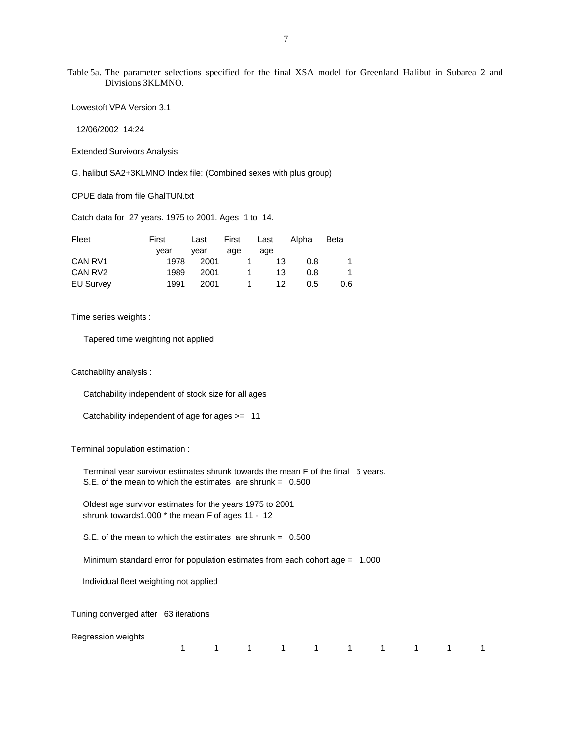Table 5a. The parameter selections specified for the final XSA model for Greenland Halibut in Subarea 2 and Divisions 3KLMNO.

Lowestoft VPA Version 3.1

12/06/2002 14:24

Extended Survivors Analysis

G. halibut SA2+3KLMNO Index file: (Combined sexes with plus group)

CPUE data from file GhalTUN.txt

Catch data for 27 years. 1975 to 2001. Ages 1 to 14.

| Fleet            | First | Last | First Last       |                        | Alpha | <b>Beta</b> |
|------------------|-------|------|------------------|------------------------|-------|-------------|
|                  | vear  | vear | age              | age                    |       |             |
| CAN RV1          | 1978  | 2001 |                  | 13<br>$\blacksquare$ 1 | 0.8   | 1           |
| CAN RV2          | 1989  | 2001 | $\blacksquare$ 1 | 13                     | 0.8   | 1           |
| <b>EU Survey</b> | 1991  | 2001 |                  | 12<br>$\blacksquare$ 1 | 0.5   | 0.6         |

Time series weights :

Tapered time weighting not applied

Catchability analysis :

Catchability independent of stock size for all ages

Catchability independent of age for ages >= 11

Terminal population estimation :

 Terminal year survivor estimates shrunk towards the mean F of the final 5 years. S.E. of the mean to which the estimates are shrunk =  $0.500$ 

 Oldest age survivor estimates for the years 1975 to 2001 shrunk towards1.000 \* the mean F of ages 11 - 12

S.E. of the mean to which the estimates are shrunk = 0.500

Minimum standard error for population estimates from each cohort age = 1.000

Individual fleet weighting not applied

Tuning converged after 63 iterations

Regression weights

|  |  |  |  | 1 1 1 1 1 1 1 1 1 1 |  |
|--|--|--|--|---------------------|--|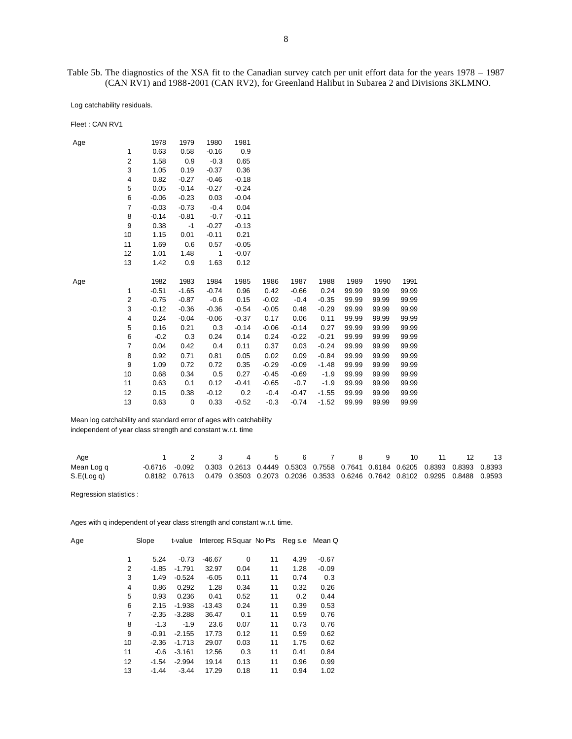Table 5b. The diagnostics of the XSA fit to the Canadian survey catch per unit effort data for the years 1978 – 1987 (CAN RV1) and 1988-2001 (CAN RV2), for Greenland Halibut in Subarea 2 and Divisions 3KLMNO.

Log catchability residuals.

| Fleet: CAN RV1 |                |         |             |              |         |         |         |         |       |       |       |
|----------------|----------------|---------|-------------|--------------|---------|---------|---------|---------|-------|-------|-------|
| Age            |                | 1978    | 1979        | 1980         | 1981    |         |         |         |       |       |       |
|                | $\mathbf{1}$   | 0.63    | 0.58        | $-0.16$      | 0.9     |         |         |         |       |       |       |
|                | $\overline{c}$ | 1.58    | 0.9         | $-0.3$       | 0.65    |         |         |         |       |       |       |
|                | 3              | 1.05    | 0.19        | $-0.37$      | 0.36    |         |         |         |       |       |       |
|                | 4              | 0.82    | $-0.27$     | $-0.46$      | $-0.18$ |         |         |         |       |       |       |
|                | 5              | 0.05    | $-0.14$     | $-0.27$      | $-0.24$ |         |         |         |       |       |       |
|                | 6              | $-0.06$ | $-0.23$     | 0.03         | $-0.04$ |         |         |         |       |       |       |
|                | $\overline{7}$ | $-0.03$ | $-0.73$     | $-0.4$       | 0.04    |         |         |         |       |       |       |
|                | 8              | $-0.14$ | $-0.81$     | $-0.7$       | $-0.11$ |         |         |         |       |       |       |
|                | 9              | 0.38    | $-1$        | $-0.27$      | $-0.13$ |         |         |         |       |       |       |
|                | 10             | 1.15    | 0.01        | $-0.11$      | 0.21    |         |         |         |       |       |       |
|                | 11             | 1.69    | 0.6         | 0.57         | $-0.05$ |         |         |         |       |       |       |
|                | 12             | 1.01    | 1.48        | $\mathbf{1}$ | $-0.07$ |         |         |         |       |       |       |
|                | 13             | 1.42    | 0.9         | 1.63         | 0.12    |         |         |         |       |       |       |
| Age            |                | 1982    | 1983        | 1984         | 1985    | 1986    | 1987    | 1988    | 1989  | 1990  | 1991  |
|                | 1              | $-0.51$ | $-1.65$     | $-0.74$      | 0.96    | 0.42    | $-0.66$ | 0.24    | 99.99 | 99.99 | 99.99 |
|                | $\overline{c}$ | $-0.75$ | $-0.87$     | $-0.6$       | 0.15    | $-0.02$ | $-0.4$  | $-0.35$ | 99.99 | 99.99 | 99.99 |
|                | 3              | $-0.12$ | $-0.36$     | $-0.36$      | $-0.54$ | $-0.05$ | 0.48    | $-0.29$ | 99.99 | 99.99 | 99.99 |
|                | 4              | 0.24    | $-0.04$     | $-0.06$      | $-0.37$ | 0.17    | 0.06    | 0.11    | 99.99 | 99.99 | 99.99 |
|                | 5              | 0.16    | 0.21        | 0.3          | $-0.14$ | $-0.06$ | $-0.14$ | 0.27    | 99.99 | 99.99 | 99.99 |
|                | 6              | $-0.2$  | 0.3         | 0.24         | 0.14    | 0.24    | $-0.22$ | $-0.21$ | 99.99 | 99.99 | 99.99 |
|                | $\overline{7}$ | 0.04    | 0.42        | 0.4          | 0.11    | 0.37    | 0.03    | $-0.24$ | 99.99 | 99.99 | 99.99 |
|                | 8              | 0.92    | 0.71        | 0.81         | 0.05    | 0.02    | 0.09    | $-0.84$ | 99.99 | 99.99 | 99.99 |
|                | 9              | 1.09    | 0.72        | 0.72         | 0.35    | $-0.29$ | $-0.09$ | $-1.48$ | 99.99 | 99.99 | 99.99 |
|                | 10             | 0.68    | 0.34        | 0.5          | 0.27    | $-0.45$ | $-0.69$ | $-1.9$  | 99.99 | 99.99 | 99.99 |
|                | 11             | 0.63    | 0.1         | 0.12         | $-0.41$ | $-0.65$ | $-0.7$  | $-1.9$  | 99.99 | 99.99 | 99.99 |
|                | 12             | 0.15    | 0.38        | $-0.12$      | 0.2     | $-0.4$  | $-0.47$ | $-1.55$ | 99.99 | 99.99 | 99.99 |
|                | 13             | 0.63    | $\mathbf 0$ | 0.33         | $-0.52$ | $-0.3$  | $-0.74$ | $-1.52$ | 99.99 | 99.99 | 99.99 |
|                |                |         |             |              |         |         |         |         |       |       |       |

 Mean log catchability and standard error of ages with catchability independent of year class strength and constant w.r.t. time

| Age        | 1 2 3 4 5 6 7 8 9 10 11 12                                                                 |  |  |  |  |  | 13 |
|------------|--------------------------------------------------------------------------------------------|--|--|--|--|--|----|
| Mean Log q | -0.6716 -0.092 0.303 0.2613 0.4449 0.5303 0.7558 0.7641 0.6184 0.6205 0.8393 0.8393 0.8393 |  |  |  |  |  |    |
| S.E(Log q) | 0.8182 0.7613 0.479 0.3503 0.2073 0.2036 0.3533 0.6246 0.7642 0.8102 0.9295 0.8488 0.9593  |  |  |  |  |  |    |

Regression statistics :

Ages with q independent of year class strength and constant w.r.t. time.

| Age |    | Slope   | t-value  |          |      |    | Intercer RSquar No Pts Reg s.e | Mean Q  |
|-----|----|---------|----------|----------|------|----|--------------------------------|---------|
|     | 1  | 5.24    | $-0.73$  | -46.67   | 0    | 11 | 4.39                           | $-0.67$ |
|     | 2  | $-1.85$ | $-1.791$ | 32.97    | 0.04 | 11 | 1.28                           | $-0.09$ |
|     | 3  | 1.49    | $-0.524$ | $-6.05$  | 0.11 | 11 | 0.74                           | 0.3     |
|     | 4  | 0.86    | 0.292    | 1.28     | 0.34 | 11 | 0.32                           | 0.26    |
|     | 5  | 0.93    | 0.236    | 0.41     | 0.52 | 11 | 0.2                            | 0.44    |
|     | 6  | 2.15    | $-1.938$ | $-13.43$ | 0.24 | 11 | 0.39                           | 0.53    |
|     | 7  | $-2.35$ | $-3.288$ | 36.47    | 0.1  | 11 | 0.59                           | 0.76    |
|     | 8  | $-1.3$  | $-1.9$   | 23.6     | 0.07 | 11 | 0.73                           | 0.76    |
|     | 9  | $-0.91$ | $-2.155$ | 17.73    | 0.12 | 11 | 0.59                           | 0.62    |
|     | 10 | $-2.36$ | $-1.713$ | 29.07    | 0.03 | 11 | 1.75                           | 0.62    |
|     | 11 | $-0.6$  | $-3.161$ | 12.56    | 0.3  | 11 | 0.41                           | 0.84    |
|     | 12 | $-1.54$ | $-2.994$ | 19.14    | 0.13 | 11 | 0.96                           | 0.99    |
|     | 13 | $-1.44$ | $-3.44$  | 17.29    | 0.18 | 11 | 0.94                           | 1.02    |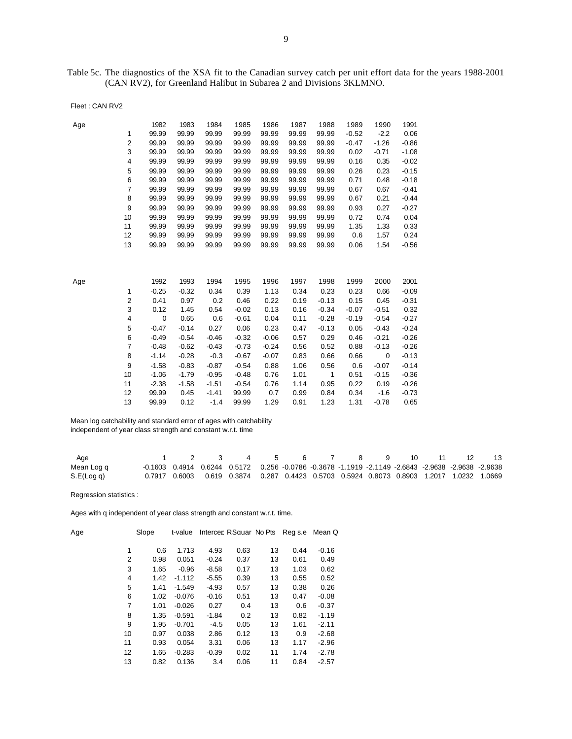Table 5c. The diagnostics of the XSA fit to the Canadian survey catch per unit effort data for the years 1988-2001 (CAN RV2), for Greenland Halibut in Subarea 2 and Divisions 3KLMNO.

| Fleet: CAN RV2 |  |  |
|----------------|--|--|
|----------------|--|--|

| Age |                         | 1982        | 1983    | 1984    | 1985    | 1986    | 1987  | 1988         | 1989    | 1990    | 1991    |
|-----|-------------------------|-------------|---------|---------|---------|---------|-------|--------------|---------|---------|---------|
|     | 1                       | 99.99       | 99.99   | 99.99   | 99.99   | 99.99   | 99.99 | 99.99        | $-0.52$ | $-2.2$  | 0.06    |
|     | $\overline{2}$          | 99.99       | 99.99   | 99.99   | 99.99   | 99.99   | 99.99 | 99.99        | $-0.47$ | $-1.26$ | $-0.86$ |
|     | 3                       | 99.99       | 99.99   | 99.99   | 99.99   | 99.99   | 99.99 | 99.99        | 0.02    | $-0.71$ | $-1.08$ |
|     | $\overline{4}$          | 99.99       | 99.99   | 99.99   | 99.99   | 99.99   | 99.99 | 99.99        | 0.16    | 0.35    | $-0.02$ |
|     | 5                       | 99.99       | 99.99   | 99.99   | 99.99   | 99.99   | 99.99 | 99.99        | 0.26    | 0.23    | $-0.15$ |
|     | 6                       | 99.99       | 99.99   | 99.99   | 99.99   | 99.99   | 99.99 | 99.99        | 0.71    | 0.48    | $-0.18$ |
|     | $\overline{7}$          | 99.99       | 99.99   | 99.99   | 99.99   | 99.99   | 99.99 | 99.99        | 0.67    | 0.67    | $-0.41$ |
|     | 8                       | 99.99       | 99.99   | 99.99   | 99.99   | 99.99   | 99.99 | 99.99        | 0.67    | 0.21    | $-0.44$ |
|     | 9                       | 99.99       | 99.99   | 99.99   | 99.99   | 99.99   | 99.99 | 99.99        | 0.93    | 0.27    | $-0.27$ |
|     | 10                      | 99.99       | 99.99   | 99.99   | 99.99   | 99.99   | 99.99 | 99.99        | 0.72    | 0.74    | 0.04    |
|     | 11                      | 99.99       | 99.99   | 99.99   | 99.99   | 99.99   | 99.99 | 99.99        | 1.35    | 1.33    | 0.33    |
|     | 12                      | 99.99       | 99.99   | 99.99   | 99.99   | 99.99   | 99.99 | 99.99        | 0.6     | 1.57    | 0.24    |
|     | 13                      | 99.99       | 99.99   | 99.99   | 99.99   | 99.99   | 99.99 | 99.99        | 0.06    | 1.54    | $-0.56$ |
|     |                         |             |         |         |         |         |       |              |         |         |         |
|     |                         |             |         |         |         |         |       |              |         |         |         |
|     |                         |             |         |         |         |         |       |              |         |         |         |
| Age |                         | 1992        | 1993    | 1994    | 1995    | 1996    | 1997  | 1998         | 1999    | 2000    | 2001    |
|     | $\mathbf{1}$            | $-0.25$     | $-0.32$ | 0.34    | 0.39    | 1.13    | 0.34  | 0.23         | 0.23    | 0.66    | $-0.09$ |
|     | $\overline{2}$          | 0.41        | 0.97    | 0.2     | 0.46    | 0.22    | 0.19  | $-0.13$      | 0.15    | 0.45    | $-0.31$ |
|     | 3                       | 0.12        | 1.45    | 0.54    | $-0.02$ | 0.13    | 0.16  | $-0.34$      | $-0.07$ | $-0.51$ | 0.32    |
|     | $\overline{\mathbf{4}}$ | $\mathbf 0$ | 0.65    | 0.6     | $-0.61$ | 0.04    | 0.11  | $-0.28$      | $-0.19$ | $-0.54$ | $-0.27$ |
|     | 5                       | $-0.47$     | $-0.14$ | 0.27    | 0.06    | 0.23    | 0.47  | $-0.13$      | 0.05    | $-0.43$ | $-0.24$ |
|     | 6                       | $-0.49$     | $-0.54$ | $-0.46$ | $-0.32$ | $-0.06$ | 0.57  | 0.29         | 0.46    | $-0.21$ | $-0.26$ |
|     | 7                       | $-0.48$     | $-0.62$ | $-0.43$ | $-0.73$ | $-0.24$ | 0.56  | 0.52         | 0.88    | $-0.13$ | $-0.26$ |
|     | 8                       | $-1.14$     | $-0.28$ | $-0.3$  | $-0.67$ | $-0.07$ | 0.83  | 0.66         | 0.66    | 0       | $-0.13$ |
|     | 9                       | $-1.58$     | $-0.83$ | $-0.87$ | $-0.54$ | 0.88    | 1.06  | 0.56         | 0.6     | $-0.07$ | $-0.14$ |
|     | 10                      | $-1.06$     | $-1.79$ | $-0.95$ | $-0.48$ | 0.76    | 1.01  | $\mathbf{1}$ | 0.51    | $-0.15$ | $-0.36$ |
|     | 11                      | $-2.38$     | $-1.58$ | $-1.51$ | $-0.54$ | 0.76    | 1.14  | 0.95         | 0.22    | 0.19    | $-0.26$ |
|     | 12                      | 99.99       | 0.45    | $-1.41$ | 99.99   | 0.7     | 0.99  | 0.84         | 0.34    | $-1.6$  | $-0.73$ |
|     | 13                      | 99.99       | 0.12    | $-1.4$  | 99.99   | 1.29    | 0.91  | 1.23         | 1.31    | $-0.78$ | 0.65    |
|     |                         |             |         |         |         |         |       |              |         |         |         |

 Mean log catchability and standard error of ages with catchability independent of year class strength and constant w.r.t. time

| Age        |  | 1 2 3 4 5 6 7 8 9 10 11 12                                                                                         |  |  |  |  | - 13 |
|------------|--|--------------------------------------------------------------------------------------------------------------------|--|--|--|--|------|
| Mean Log q |  | -0.1603 0.4914 0.6244 0.5172 0.256 -0.0786 -0.3678 -1.1919 -2.1149 -2.6843 -2.9638 -2.9638 -2.9638                 |  |  |  |  |      |
| S.E(Log q) |  | $0.7917$ $0.6003$ $0.619$ $0.3874$ $0.287$ $0.4423$ $0.5703$ $0.5924$ $0.8073$ $0.8903$ $1.2017$ $1.0232$ $1.0669$ |  |  |  |  |      |

Regression statistics :

Ages with q independent of year class strength and constant w.r.t. time.

| Age |    | Slope | t-value  |         | Intercer RSquar No Pts |    | Reg s.e | Mean Q  |
|-----|----|-------|----------|---------|------------------------|----|---------|---------|
|     | 1  | 0.6   | 1.713    | 4.93    | 0.63                   | 13 | 0.44    | $-0.16$ |
|     | 2  | 0.98  | 0.051    | $-0.24$ | 0.37                   | 13 | 0.61    | 0.49    |
|     | 3  | 1.65  | $-0.96$  | $-8.58$ | 0.17                   | 13 | 1.03    | 0.62    |
|     | 4  | 1.42  | $-1.112$ | $-5.55$ | 0.39                   | 13 | 0.55    | 0.52    |
|     | 5  | 1.41  | $-1.549$ | $-4.93$ | 0.57                   | 13 | 0.38    | 0.26    |
|     | 6  | 1.02  | $-0.076$ | $-0.16$ | 0.51                   | 13 | 0.47    | $-0.08$ |
|     | 7  | 1.01  | $-0.026$ | 0.27    | 0.4                    | 13 | 0.6     | $-0.37$ |
|     | 8  | 1.35  | $-0.591$ | $-1.84$ | 0.2                    | 13 | 0.82    | $-1.19$ |
|     | 9  | 1.95  | $-0.701$ | $-4.5$  | 0.05                   | 13 | 1.61    | $-2.11$ |
|     | 10 | 0.97  | 0.038    | 2.86    | 0.12                   | 13 | 0.9     | $-2.68$ |
|     | 11 | 0.93  | 0.054    | 3.31    | 0.06                   | 13 | 1.17    | $-2.96$ |
|     | 12 | 1.65  | $-0.283$ | $-0.39$ | 0.02                   | 11 | 1.74    | $-2.78$ |
|     | 13 | 0.82  | 0.136    | 3.4     | 0.06                   | 11 | 0.84    | $-2.57$ |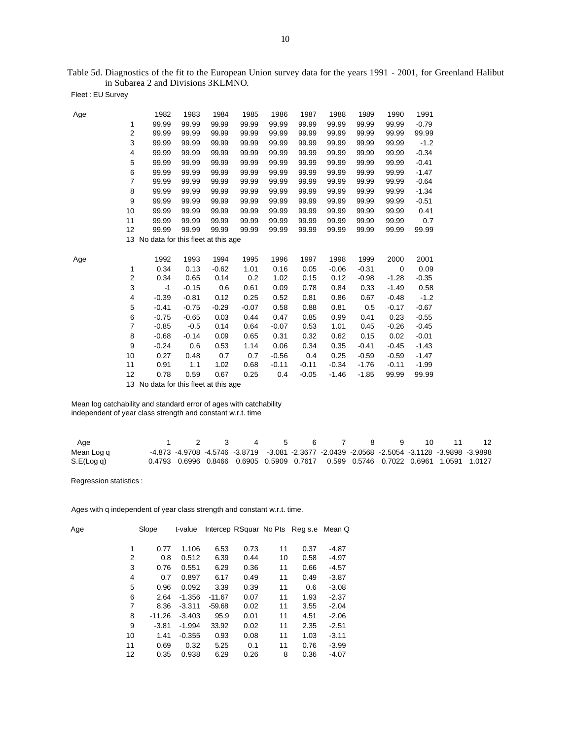Table 5d. Diagnostics of the fit to the European Union survey data for the years 1991 - 2001, for Greenland Halibut in Subarea 2 and Divisions 3KLMNO.

Fleet : EU Survey

| Age |                | 1982                                  | 1983        | 1984         | 1985         | 1986           | 1987               | 1988               | 1989               | 1990             | 1991             |
|-----|----------------|---------------------------------------|-------------|--------------|--------------|----------------|--------------------|--------------------|--------------------|------------------|------------------|
|     | 1              | 99.99                                 | 99.99       | 99.99        | 99.99        | 99.99          | 99.99              | 99.99              | 99.99              | 99.99            | $-0.79$          |
|     | $\overline{c}$ | 99.99                                 | 99.99       | 99.99        | 99.99        | 99.99          | 99.99              | 99.99              | 99.99              | 99.99            | 99.99            |
|     | 3              | 99.99                                 | 99.99       | 99.99        | 99.99        | 99.99          | 99.99              | 99.99              | 99.99              | 99.99            | $-1.2$           |
|     | 4              | 99.99                                 | 99.99       | 99.99        | 99.99        | 99.99          | 99.99              | 99.99              | 99.99              | 99.99            | $-0.34$          |
|     | 5              | 99.99                                 | 99.99       | 99.99        | 99.99        | 99.99          | 99.99              | 99.99              | 99.99              | 99.99            | $-0.41$          |
|     | 6              | 99.99                                 | 99.99       | 99.99        | 99.99        | 99.99          | 99.99              | 99.99              | 99.99              | 99.99            | $-1.47$          |
|     | 7              | 99.99                                 | 99.99       | 99.99        | 99.99        | 99.99          | 99.99              | 99.99              | 99.99              | 99.99            | $-0.64$          |
|     | 8              | 99.99                                 | 99.99       | 99.99        | 99.99        | 99.99          | 99.99              | 99.99              | 99.99              | 99.99            | $-1.34$          |
|     | 9              | 99.99                                 | 99.99       | 99.99        | 99.99        | 99.99          | 99.99              | 99.99              | 99.99              | 99.99            | $-0.51$          |
|     | 10             | 99.99                                 | 99.99       | 99.99        | 99.99        | 99.99          | 99.99              | 99.99              | 99.99              | 99.99            | 0.41             |
|     | 11             | 99.99                                 | 99.99       | 99.99        | 99.99        | 99.99          | 99.99              | 99.99              | 99.99              | 99.99            | 0.7              |
|     | 12             | 99.99                                 | 99.99       | 99.99        | 99.99        | 99.99          | 99.99              | 99.99              | 99.99              | 99.99            | 99.99            |
|     |                | 13 No data for this fleet at this age |             |              |              |                |                    |                    |                    |                  |                  |
|     |                |                                       |             |              |              |                |                    |                    |                    |                  |                  |
|     |                |                                       |             |              |              |                |                    |                    |                    |                  |                  |
| Age |                | 1992                                  | 1993        | 1994         | 1995         | 1996           | 1997               | 1998               | 1999               | 2000             | 2001             |
|     | 1              | 0.34                                  | 0.13        | $-0.62$      | 1.01         | 0.16           | 0.05               | $-0.06$            | $-0.31$            | $\mathbf 0$      | 0.09             |
|     | $\overline{c}$ | 0.34                                  | 0.65        | 0.14         | 0.2          | 1.02           | 0.15               | 0.12               | $-0.98$            | $-1.28$          | $-0.35$          |
|     | 3              | $-1$                                  | $-0.15$     | 0.6          | 0.61         | 0.09           | 0.78               | 0.84               | 0.33               | $-1.49$          | 0.58             |
|     | 4              | $-0.39$                               | $-0.81$     | 0.12         | 0.25         | 0.52           | 0.81               | 0.86               | 0.67               | $-0.48$          | $-1.2$           |
|     | 5              | $-0.41$                               | $-0.75$     | $-0.29$      | $-0.07$      | 0.58           | 0.88               | 0.81               | 0.5                | $-0.17$          | $-0.67$          |
|     | 6              | $-0.75$                               | $-0.65$     | 0.03         | 0.44         | 0.47           | 0.85               | 0.99               | 0.41               | 0.23             | $-0.55$          |
|     | $\overline{7}$ | $-0.85$                               | $-0.5$      | 0.14         | 0.64         | $-0.07$        | 0.53               | 1.01               | 0.45               | $-0.26$          | $-0.45$          |
|     | 8              | $-0.68$                               | $-0.14$     | 0.09         | 0.65         | 0.31           | 0.32               | 0.62               | 0.15               | 0.02             | $-0.01$          |
|     | 9              | $-0.24$                               | 0.6         | 0.53         | 1.14         | 0.06           | 0.34               | 0.35               | $-0.41$            | $-0.45$          | $-1.43$          |
|     | 10             | 0.27                                  | 0.48        | 0.7          | 0.7          | $-0.56$        | 0.4                | 0.25               | $-0.59$            | $-0.59$          | $-1.47$          |
|     | 11<br>12       | 0.91<br>0.78                          | 1.1<br>0.59 | 1.02<br>0.67 | 0.68<br>0.25 | $-0.11$<br>0.4 | $-0.11$<br>$-0.05$ | $-0.34$<br>$-1.46$ | $-1.76$<br>$-1.85$ | $-0.11$<br>99.99 | $-1.99$<br>99.99 |

13 No data for this fleet at this age

 Mean log catchability and standard error of ages with catchability independent of year class strength and constant w.r.t. time

| Age        |  | 1 2 3 4 5 6 7 8 9 10 11                                                                       |  |  |  | 12 |
|------------|--|-----------------------------------------------------------------------------------------------|--|--|--|----|
| Mean Log q |  | -4.873 -4.9708 -4.5746 -3.8719 -3.081 -2.3677 -2.0439 -2.0568 -2.5054 -3.1128 -3.9898 -3.9898 |  |  |  |    |
| S.E(Log q) |  | 0.4793  0.6996  0.8466  0.6905  0.5909  0.7617  0.599  0.5746  0.7022  0.6961  1.0591  1.0127 |  |  |  |    |

Regression statistics :

Ages with q independent of year class strength and constant w.r.t. time.

| Age |    | Slope    | t-value  |          |      |    | Intercep RSquar No Pts Reg s.e Mean Q |         |
|-----|----|----------|----------|----------|------|----|---------------------------------------|---------|
|     | 1  | 0.77     | 1.106    | 6.53     | 0.73 | 11 | 0.37                                  | $-4.87$ |
|     | 2  | 0.8      | 0.512    | 6.39     | 0.44 | 10 | 0.58                                  | $-4.97$ |
|     | 3  | 0.76     | 0.551    | 6.29     | 0.36 | 11 | 0.66                                  | $-4.57$ |
|     | 4  | 0.7      | 0.897    | 6.17     | 0.49 | 11 | 0.49                                  | $-3.87$ |
|     | 5  | 0.96     | 0.092    | 3.39     | 0.39 | 11 | 0.6                                   | $-3.08$ |
|     | 6  | 2.64     | $-1.356$ | $-11.67$ | 0.07 | 11 | 1.93                                  | $-2.37$ |
|     | 7  | 8.36     | $-3.311$ | $-59.68$ | 0.02 | 11 | 3.55                                  | $-2.04$ |
|     | 8  | $-11.26$ | $-3.403$ | 95.9     | 0.01 | 11 | 4.51                                  | $-2.06$ |
|     | 9  | $-3.81$  | $-1.994$ | 33.92    | 0.02 | 11 | 2.35                                  | $-2.51$ |
|     | 10 | 1.41     | $-0.355$ | 0.93     | 0.08 | 11 | 1.03                                  | $-3.11$ |
|     | 11 | 0.69     | 0.32     | 5.25     | 0.1  | 11 | 0.76                                  | $-3.99$ |
|     | 12 | 0.35     | 0.938    | 6.29     | 0.26 | 8  | 0.36                                  | $-4.07$ |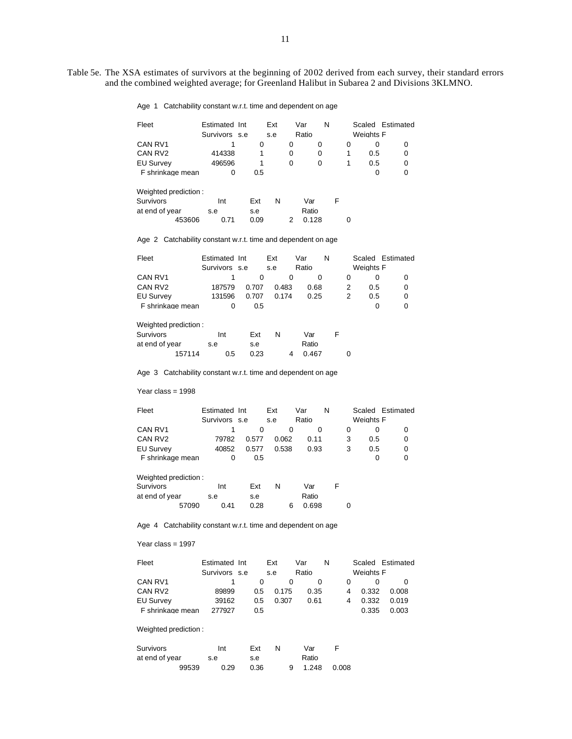#### Age 1 Catchability constant w.r.t. time and dependent on age

| Fleet               | Estimated Int | Ext | Var   | N |   | Scaled Estimated |   |
|---------------------|---------------|-----|-------|---|---|------------------|---|
|                     | Survivors s.e | s.e | Ratio |   |   | Weights F        |   |
| CAN RV1             |               | 0   | O     |   | O |                  |   |
| CAN RV <sub>2</sub> | 414338        |     | 0     |   |   | 0.5              | 0 |
| <b>EU Survey</b>    | 496596        |     | 0     |   |   | 0.5              | 0 |
| F shrinkage mean    |               | 0.5 |       |   |   |                  |   |

| Weighted prediction: |        |      |      |   |       |   |  |
|----------------------|--------|------|------|---|-------|---|--|
| <b>Survivors</b>     |        | Int  | Ext  | N | Var   | F |  |
| at end of year       |        | s.e  | s.e  |   | Ratio |   |  |
|                      | 453606 | በ 71 | 0.09 |   | 0.128 |   |  |

Age 2 Catchability constant w.r.t. time and dependent on age

| Fleet               | Estimated Int |       | Ext   | Var   | N |                  | Scaled Estimated |
|---------------------|---------------|-------|-------|-------|---|------------------|------------------|
|                     | Survivors s.e |       | s.e   | Ratio |   | <b>Weights F</b> |                  |
| CAN RV1             |               |       |       |       |   |                  |                  |
| CAN RV <sub>2</sub> | 187579        | 0.707 | 0.483 | 0.68  |   | 0.5              |                  |
| <b>EU Survey</b>    | 131596        | 0.707 | 0.174 | 0.25  |   | 0.5              |                  |
| F shrinkage mean    |               | 0.5   |       |       |   |                  |                  |

| Weighted prediction: |     |      |   |       |   |   |
|----------------------|-----|------|---|-------|---|---|
| <b>Survivors</b>     | Int | Fxt  | N | Var   | F |   |
| at end of year       | s.e | s.e  |   | Ratio |   |   |
| 157114               | 0.5 | 0.23 |   | 0.467 |   | 0 |

Age 3 Catchability constant w.r.t. time and dependent on age

Year class = 1998

| Fleet               | Estimated Int |       | Ext   | Var   | N |   |           | Scaled Estimated |
|---------------------|---------------|-------|-------|-------|---|---|-----------|------------------|
|                     | Survivors s.e |       | s.e   | Ratio |   |   | Weights F |                  |
| CAN RV1             |               |       |       |       |   |   |           |                  |
| CAN RV <sub>2</sub> | 79782         | 0.577 | 0.062 | 0.11  |   |   | 0.5       | 0                |
| <b>EU Survey</b>    | 40852         | 0.577 | 0.538 | 0.93  |   | 3 | 0.5       | 0                |
| F shrinkage mean    |               | 0.5   |       |       |   |   |           | O                |

| Weighted prediction: |       |      |      |   |   |       |   |   |
|----------------------|-------|------|------|---|---|-------|---|---|
| <b>Survivors</b>     |       | Int  | Ext  | N |   | Var   | F |   |
| at end of year       |       | s.e  | s.e  |   |   | Ratio |   |   |
|                      | 57090 | 0.41 | 0.28 |   | 6 | 0.698 |   | 0 |

Age 4 Catchability constant w.r.t. time and dependent on age

Year class = 1997

| Fleet               | Estimated Int |     | Ext   | Var   | N |           | Scaled Estimated |
|---------------------|---------------|-----|-------|-------|---|-----------|------------------|
|                     | Survivors s.e |     | S.e   | Ratio |   | Weights F |                  |
| CAN RV1             |               |     |       |       |   |           |                  |
| CAN RV <sub>2</sub> | 89899         | 0.5 | 0.175 | 0.35  |   | 0.332     | 0.008            |
| <b>EU Survey</b>    | 39162         | 0.5 | 0.307 | 0.61  |   | 0.332     | 0.019            |
| F shrinkage mean    | 277927        | 0.5 |       |       |   | 0.335     | 0.003            |

### Weighted prediction :

| Survivors      |       | Int |      | Ext  |  | Var   |       |
|----------------|-------|-----|------|------|--|-------|-------|
| at end of year |       | s.e |      | s.e  |  | Ratio |       |
|                | 99539 |     | 0.29 | 0.36 |  | 1.248 | 0.008 |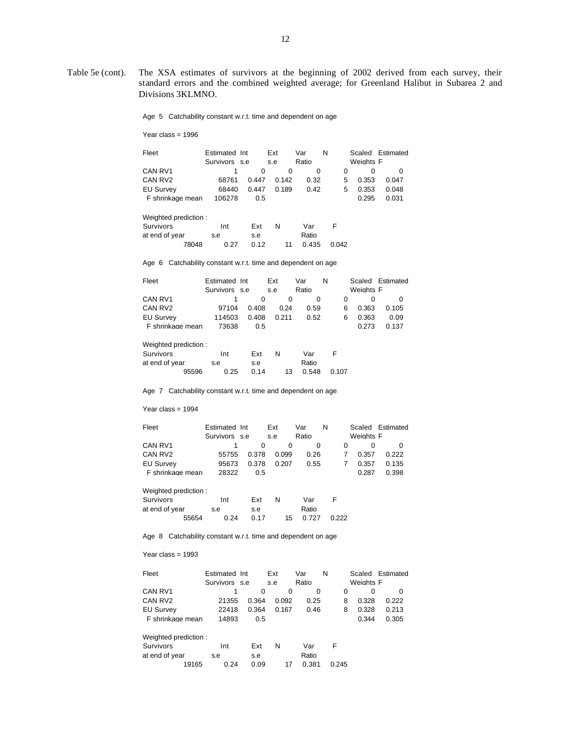Age 5 Catchability constant w.r.t. time and dependent on age

Year class = 1996

| Fleet               | Estimated Int |       | Ext   | Var   | N |   |           | Scaled Estimated |
|---------------------|---------------|-------|-------|-------|---|---|-----------|------------------|
|                     | Survivors s.e |       | s.e   | Ratio |   |   | Weights F |                  |
| CAN RV1             |               |       |       |       |   |   |           |                  |
| CAN RV <sub>2</sub> | 68761         | 0.447 | 0.142 | 0.32  |   | 5 | 0.353     | 0.047            |
| <b>EU Survey</b>    | 68440         | 0.447 | 0.189 | 0.42  |   | 5 | 0.353     | 0.048            |
| F shrinkage mean    | 106278        | 0.5   |       |       |   |   | 0.295     | 0.031            |

| Weighted prediction: |       |      |      |   |    |       |       |
|----------------------|-------|------|------|---|----|-------|-------|
| Survivors            |       | Int  | Ext  | N |    | Var   |       |
| at end of year       |       | s.e  | s.e  |   |    | Ratio |       |
|                      | 78048 | 0.27 | 0.12 |   | 11 | 0.435 | 0.042 |

Age 6 Catchability constant w.r.t. time and dependent on age

| Fleet            | Estimated Int |       | Ext   | Var   | N |           | Scaled Estimated |
|------------------|---------------|-------|-------|-------|---|-----------|------------------|
|                  | Survivors s.e |       | s.e   | Ratio |   | Weights F |                  |
| CAN RV1          |               |       |       |       |   |           |                  |
| CAN RV2          | 97104         | 0.408 | 0.24  | 0.59  | 6 | 0.363     | 0.105            |
| <b>EU Survey</b> | 114503        | 0.408 | 0.211 | 0.52  | 6 | 0.363     | 0.09             |
| F shrinkage mean | 73638         | 0.5   |       |       |   | 0.273     | 0.137            |

Weighted prediction :

| Survivors      |       | Int  | Ext  | N  | Var   |       |
|----------------|-------|------|------|----|-------|-------|
| at end of year |       | s.e  | s.e  |    | Ratio |       |
|                | 95596 | 0.25 | 0.14 | 13 | 0.548 | 0.107 |

Age 7 Catchability constant w.r.t. time and dependent on age

Year class = 1994

| Fleet               | Estimated Int |       | Ext   | Var   | N |           | Scaled Estimated |
|---------------------|---------------|-------|-------|-------|---|-----------|------------------|
|                     | Survivors s.e |       | s.e   | Ratio |   | Weights F |                  |
| CAN RV1             |               |       |       |       |   |           |                  |
| CAN RV <sub>2</sub> | 55755         | 0.378 | 0.099 | 0.26  |   | 0.357     | 0.222            |
| <b>EU Survey</b>    | 95673         | 0.378 | 0.207 | 0.55  |   | 0.357     | 0.135            |
| F shrinkage mean    | 28322         | 0.5   |       |       |   | 0.287     | 0.398            |

| Weighted prediction: |       |      |      |   |             |       |
|----------------------|-------|------|------|---|-------------|-------|
| Survivors            |       | Int  | Fxt  | N | Var         | F     |
| at end of year       |       | s.e  | s.e  |   | Ratio       |       |
|                      | 55654 | 0.24 | 0.17 |   | 0.727<br>15 | 0.222 |

Age 8 Catchability constant w.r.t. time and dependent on age

| Fleet                | Estimated Int |       | Ext   | Var   | N     | Scaled    | Estimated    |
|----------------------|---------------|-------|-------|-------|-------|-----------|--------------|
|                      | Survivors s.e |       | s.e   | Ratio |       | Weights F |              |
| CAN RV1              |               | 0     | 0     | 0     | 0     | 0         | <sup>0</sup> |
| CAN RV <sub>2</sub>  | 21355         | 0.364 | 0.092 | 0.25  | 8     | 0.328     | 0.222        |
| <b>EU Survey</b>     | 22418         | 0.364 | 0.167 | 0.46  | 8     | 0.328     | 0.213        |
| F shrinkage mean     | 14893         | 0.5   |       |       |       | 0.344     | 0.305        |
| Weighted prediction: |               |       |       |       |       |           |              |
| Survivors            | Int           | Ext   | N     | Var   | F     |           |              |
| at end of year       | s.e           | s.e   |       | Ratio |       |           |              |
| 19165                | 0.24          | 0.09  | 17    | 0.381 | 0.245 |           |              |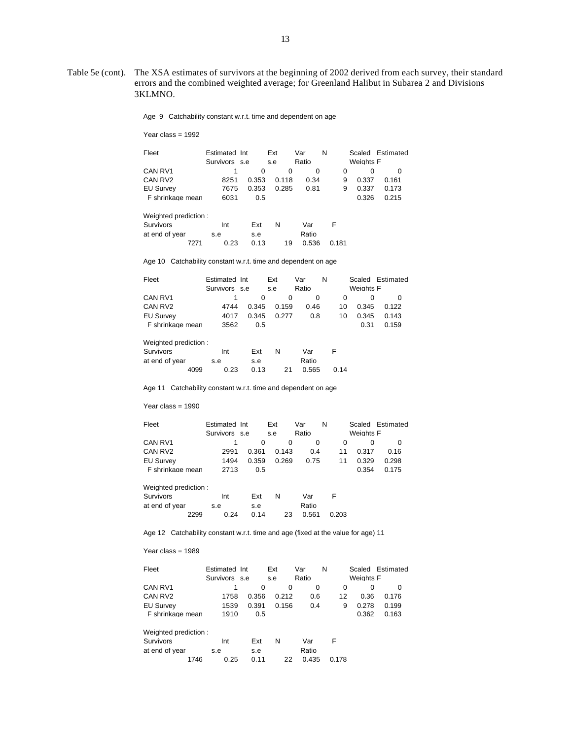Age 9 Catchability constant w.r.t. time and dependent on age

Year class = 1992

| Fleet               | Estimated Int |       | Ext   | Var   | N |   |           | Scaled Estimated |
|---------------------|---------------|-------|-------|-------|---|---|-----------|------------------|
|                     | Survivors s.e |       | s.e   | Ratio |   |   | Weights F |                  |
| CAN RV1             |               | 0     | 0     |       |   |   |           |                  |
| CAN RV <sub>2</sub> | 8251          | 0.353 | 0.118 | 0.34  |   | 9 | 0.337     | 0.161            |
| <b>EU Survey</b>    | 7675          | 0.353 | 0.285 | 0.81  |   | 9 | 0.337     | 0.173            |
| F shrinkage mean    | 6031          | 0.5   |       |       |   |   | 0.326     | 0.215            |
|                     |               |       |       |       |   |   |           |                  |

| Weighted prediction: |      |      |      |    |       |       |
|----------------------|------|------|------|----|-------|-------|
| Survivors            |      | Int  | Ext  | N  | Var   |       |
| at end of year       |      | s.e  | s.e  |    | Ratio |       |
|                      | 7271 | 0.23 | 0.13 | 19 | 0.536 | 0.181 |

Age 10 Catchability constant w.r.t. time and dependent on age

| Fleet                | Estimated Int |       | Ext   | Var   | N  |                  | Scaled Estimated |
|----------------------|---------------|-------|-------|-------|----|------------------|------------------|
|                      | Survivors s.e |       | s.e   | Ratio |    | <b>Weights F</b> |                  |
| CAN RV1              |               | 0     | 0     | 0     |    | 0<br>$\Omega$    |                  |
| CAN RV <sub>2</sub>  | 4744          | 0.345 | 0.159 | 0.46  | 10 | 0.345            | 0.122            |
| <b>EU Survey</b>     | 4017          | 0.345 | 0.277 | 0.8   | 10 | 0.345            | 0.143            |
| F shrinkage mean     | 3562          | 0.5   |       |       |    | 0.31             | 0.159            |
| Weighted prediction: |               |       |       |       |    |                  |                  |

| Survivors      |      | Int  | Ext  | N  | Var   | E    |
|----------------|------|------|------|----|-------|------|
| at end of year |      | s.e  | s.e  |    | Ratio |      |
|                | 4099 | 0.23 | 0.13 | 21 | 0.565 | 0.14 |

Age 11 Catchability constant w.r.t. time and dependent on age

Year class = 1990

| Fleet               | Estimated Int |       | Ext        | Var   | N  |                  | Scaled Estimated |
|---------------------|---------------|-------|------------|-------|----|------------------|------------------|
|                     | Survivors s.e |       | s.e        | Ratio |    | <b>Weights F</b> |                  |
| CAN RV1             |               |       | $^{\circ}$ |       |    |                  |                  |
| CAN RV <sub>2</sub> | 2991          | 0.361 | 0.143      | 0.4   | 11 | 0.317            | 0.16             |
| <b>EU Survey</b>    | 1494          | 0.359 | 0.269      | 0.75  | 11 | 0.329            | 0.298            |
| F shrinkage mean    | 2713          | 0.5   |            |       |    | 0.354            | 0.175            |

 Weighted prediction : Survivors Int Ext N Var F at end of year s.e s.e Ratio 2299 0.24 0.14 23 0.561 0.203

Age 12 Catchability constant w.r.t. time and age (fixed at the value for age) 11

| Fleet                | Estimated Int |       | Ext   | Var   | N     |           | Scaled Estimated |
|----------------------|---------------|-------|-------|-------|-------|-----------|------------------|
|                      | Survivors s.e |       | s.e   | Ratio |       | Weights F |                  |
| CAN RV1              |               | 0     | 0     | 0     | 0     | 0         | 0                |
| CAN RV <sub>2</sub>  | 1758          | 0.356 | 0.212 | 0.6   | 12    | 0.36      | 0.176            |
| <b>EU Survey</b>     | 1539          | 0.391 | 0.156 | 0.4   | 9     | 0.278     | 0.199            |
| F shrinkage mean     | 1910          | 0.5   |       |       |       | 0.362     | 0.163            |
| Weighted prediction: |               |       |       |       |       |           |                  |
| Survivors            | Int           | Ext   | N     | Var   | F     |           |                  |
| at end of year       | s.e           | s.e   |       | Ratio |       |           |                  |
| 1746                 | 0.25          | 0.11  | 22    | 0.435 | 0.178 |           |                  |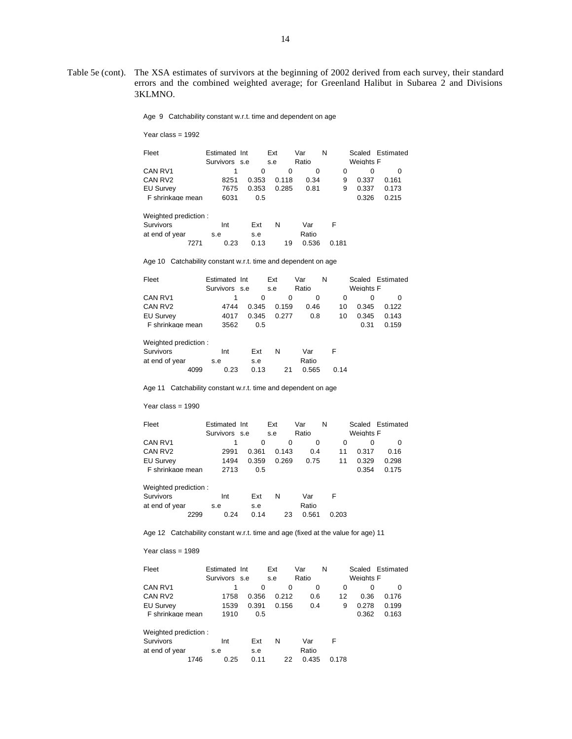Age 9 Catchability constant w.r.t. time and dependent on age

Year class = 1992

|                          |       |                                        | Var        | N |              |        | Scaled Estimated |
|--------------------------|-------|----------------------------------------|------------|---|--------------|--------|------------------|
|                          |       |                                        | Ratio      |   |              |        |                  |
|                          | 0     | $\Omega$                               |            |   |              |        |                  |
| 8251                     | 0.353 | 0.118                                  |            |   |              | 0.337  | 0.161            |
|                          | 0.353 | 0.285                                  |            |   |              | 0.337  | 0.173            |
| F shrinkage mean<br>6031 | 0.5   |                                        |            |   |              | 0.326  | 0.215            |
|                          |       | Estimated Int<br>Survivors s.e<br>7675 | Ext<br>s.e |   | 0.34<br>0.81 | 9<br>9 | Weights F        |

| Weighted prediction: |      |      |      |    |       |       |
|----------------------|------|------|------|----|-------|-------|
| Survivors            |      | Int  | Ext  | N  | Var   |       |
| at end of year       |      | s.e  | s.e  |    | Ratio |       |
|                      | 7271 | 0.23 | 0.13 | 19 | 0.536 | 0.181 |

Age 10 Catchability constant w.r.t. time and dependent on age

| Fleet                | Estimated Int |       | Ext   | Var   | N  |           | Scaled Estimated |
|----------------------|---------------|-------|-------|-------|----|-----------|------------------|
|                      | Survivors s.e |       | s.e   | Ratio |    | Weights F |                  |
| CAN RV1              |               | 0     | 0     | 0     |    | 0<br>0    |                  |
| CAN RV <sub>2</sub>  | 4744          | 0.345 | 0.159 | 0.46  | 10 | 0.345     | 0.122            |
| <b>EU Survey</b>     | 4017          | 0.345 | 0.277 | 0.8   | 10 | 0.345     | 0.143            |
| F shrinkage mean     | 3562          | 0.5   |       |       |    | 0.31      | 0.159            |
| Weighted prediction: |               |       |       |       |    |           |                  |

| Survivors      |      | Int  | Ext  | N  | Var   | Е    |
|----------------|------|------|------|----|-------|------|
| at end of year |      | s.e  | s.e  |    | Ratio |      |
|                | 4099 | 0.23 | 0.13 | 21 | 0.565 | 0.14 |

Age 11 Catchability constant w.r.t. time and dependent on age

Year class = 1990

| Fleet               | Estimated Int |       | Ext        | Var   | N  |                  | Scaled Estimated |
|---------------------|---------------|-------|------------|-------|----|------------------|------------------|
|                     | Survivors s.e |       | s.e        | Ratio |    | <b>Weights F</b> |                  |
| CAN RV1             |               |       | $^{\circ}$ |       |    |                  |                  |
| CAN RV <sub>2</sub> | 2991          | 0.361 | 0.143      | 0.4   | 11 | 0.317            | 0.16             |
| <b>EU Survey</b>    | 1494          | 0.359 | 0.269      | 0.75  | 11 | 0.329            | 0.298            |
| F shrinkage mean    | 2713          | 0.5   |            |       |    | 0.354            | 0.175            |

| Weighted prediction: |      |      |      |    |       |       |
|----------------------|------|------|------|----|-------|-------|
| Survivors            |      | Int  | Ext  | N  | Var   | Е     |
| at end of year       |      | s.e  | s.e  |    | Ratio |       |
|                      | 2299 | 0.24 | 0.14 | 23 | 0.561 | 0.203 |

Age 12 Catchability constant w.r.t. time and age (fixed at the value for age) 11

| Fleet                | Estimated Int |       | Ext   | Var   | N     |           | Scaled Estimated |
|----------------------|---------------|-------|-------|-------|-------|-----------|------------------|
|                      | Survivors s.e |       | s.e   | Ratio |       | Weights F |                  |
| CAN RV1              |               | 0     | 0     | 0     | 0     | 0         | 0                |
| CAN RV <sub>2</sub>  | 1758          | 0.356 | 0.212 | 0.6   | 12    | 0.36      | 0.176            |
| <b>EU Survey</b>     | 1539          | 0.391 | 0.156 | 0.4   | 9     | 0.278     | 0.199            |
| F shrinkage mean     | 1910          | 0.5   |       |       |       | 0.362     | 0.163            |
| Weighted prediction: |               |       |       |       |       |           |                  |
| Survivors            | Int           | Ext   | N     | Var   | F     |           |                  |
| at end of year       | s.e           | s.e   |       | Ratio |       |           |                  |
| 1746                 | 0.25          | 0.11  | 22    | 0.435 | 0.178 |           |                  |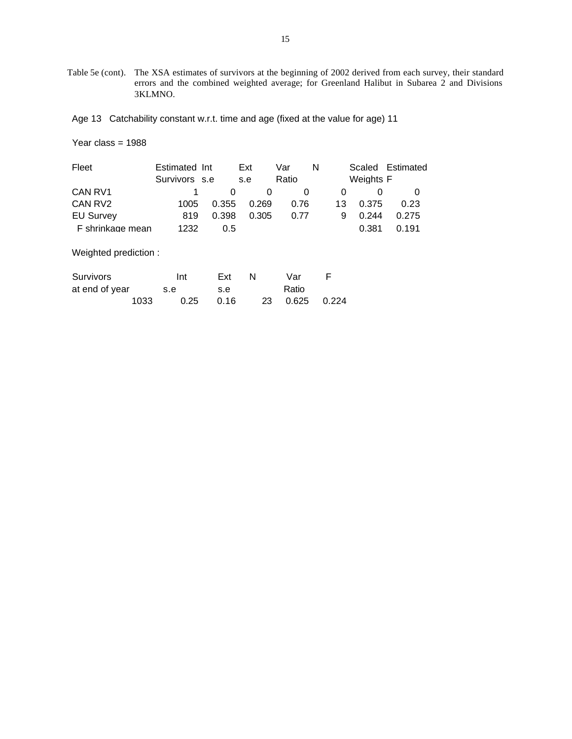Age 13 Catchability constant w.r.t. time and age (fixed at the value for age) 11

| Fleet                | Estimated Int<br>Survivors s.e |       | Ext<br>s.e | Var<br>Ratio | N  | Scaled<br>Weights F | Estimated |
|----------------------|--------------------------------|-------|------------|--------------|----|---------------------|-----------|
| CAN RV1              |                                | 0     | 0          | 0            | 0  | 0                   | 0         |
| CAN RV2              | 1005                           | 0.355 | 0.269      | 0.76         | 13 | 0.375               | 0.23      |
| <b>EU Survey</b>     | 819                            | 0.398 | 0.305      | 0.77         | 9  | 0.244               | 0.275     |
| F shrinkage mean     | 1232                           | 0.5   |            |              |    | 0.381               | 0.191     |
| Weighted prediction: |                                |       |            |              |    |                     |           |

| Survivors      |      | Int  | Ext  | <b>N</b> | Var            |  |
|----------------|------|------|------|----------|----------------|--|
| at end of year |      | s.e  | s.e  |          | Ratio          |  |
|                | 1033 | 0.25 | 0.16 |          | 23 0.625 0.224 |  |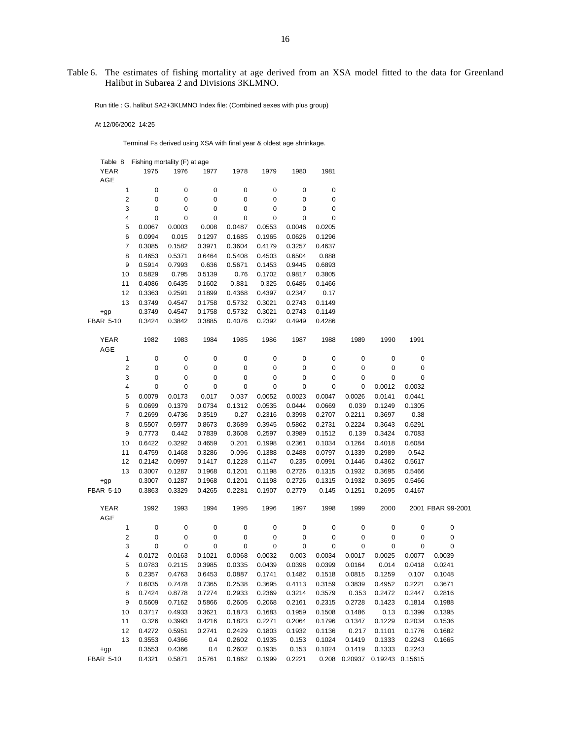Table 6. The estimates of fishing mortality at age derived from an XSA model fitted to the data for Greenland Halibut in Subarea 2 and Divisions 3KLMNO.

Run title : G. halibut SA2+3KLMNO Index file: (Combined sexes with plus group)

At 12/06/2002 14:25

Terminal Fs derived using XSA with final year & oldest age shrinkage.

| Table 8 Fishing mortality (F) at age |        |               |        |                                                                       |        |        |        |        |                               |        |                   |
|--------------------------------------|--------|---------------|--------|-----------------------------------------------------------------------|--------|--------|--------|--------|-------------------------------|--------|-------------------|
| <b>YEAR</b>                          | 1975   | 1976          | 1977   | 1978                                                                  | 1979   | 1980   | 1981   |        |                               |        |                   |
| AGE                                  |        |               |        |                                                                       |        |        |        |        |                               |        |                   |
| 1                                    | 0      | 0             | 0      | 0                                                                     | 0      | 0      | 0      |        |                               |        |                   |
| $\overline{\mathbf{c}}$              | 0      | 0             | 0      | 0                                                                     | 0      | 0      | 0      |        |                               |        |                   |
| 3                                    | 0      | 0             | 0      | 0                                                                     | 0      | 0      | 0      |        |                               |        |                   |
| 4                                    | 0      | 0             | 0      | 0                                                                     | 0      | 0      | 0      |        |                               |        |                   |
| 5                                    | 0.0067 | 0.0003        | 0.008  | 0.0487                                                                | 0.0553 | 0.0046 | 0.0205 |        |                               |        |                   |
| 6                                    | 0.0994 | 0.015         | 0.1297 | 0.1685                                                                | 0.1965 | 0.0626 | 0.1296 |        |                               |        |                   |
| 7                                    | 0.3085 | 0.1582        | 0.3971 | 0.3604                                                                | 0.4179 | 0.3257 | 0.4637 |        |                               |        |                   |
| 8                                    | 0.4653 | 0.5371        | 0.6464 | 0.5408                                                                | 0.4503 | 0.6504 | 0.888  |        |                               |        |                   |
| 9                                    | 0.5914 | 0.7993        | 0.636  | 0.5671                                                                | 0.1453 | 0.9445 | 0.6893 |        |                               |        |                   |
| 10                                   | 0.5829 | 0.795         | 0.5139 | 0.76                                                                  | 0.1702 | 0.9817 | 0.3805 |        |                               |        |                   |
| 11                                   | 0.4086 | 0.6435        | 0.1602 | 0.881                                                                 | 0.325  | 0.6486 | 0.1466 |        |                               |        |                   |
| 12                                   | 0.3363 | 0.2591        | 0.1899 | 0.4368                                                                | 0.4397 | 0.2347 | 0.17   |        |                               |        |                   |
| 13                                   | 0.3749 | 0.4547        | 0.1758 | 0.5732                                                                | 0.3021 | 0.2743 | 0.1149 |        |                               |        |                   |
| +gp                                  | 0.3749 | 0.4547        | 0.1758 | 0.5732                                                                | 0.3021 | 0.2743 | 0.1149 |        |                               |        |                   |
| <b>FBAR 5-10</b>                     | 0.3424 | 0.3842        | 0.3885 | 0.4076                                                                | 0.2392 | 0.4949 | 0.4286 |        |                               |        |                   |
|                                      |        |               |        |                                                                       |        |        |        |        |                               |        |                   |
| <b>YEAR</b>                          | 1982   | 1983          | 1984   | 1985                                                                  | 1986   | 1987   | 1988   | 1989   | 1990                          | 1991   |                   |
| AGE                                  |        |               |        |                                                                       |        |        |        |        |                               |        |                   |
| 1                                    | 0      | 0             | 0      | 0                                                                     | 0      | 0      | 0      | 0      | 0                             | 0      |                   |
| $\overline{\mathbf{c}}$              | 0      | 0             | 0      | 0                                                                     | 0      | 0      | 0      | 0      | 0                             | 0      |                   |
| 3                                    | 0      | 0             | 0      | 0                                                                     | 0      | 0      | 0      | 0      | 0                             | 0      |                   |
| 4                                    | 0      | 0             | 0      | 0                                                                     | 0      | 0      | 0      | 0      | 0.0012                        | 0.0032 |                   |
| 5                                    | 0.0079 | 0.0173        | 0.017  | 0.037                                                                 | 0.0052 | 0.0023 | 0.0047 | 0.0026 | 0.0141                        | 0.0441 |                   |
| 6                                    | 0.0699 | 0.1379        | 0.0734 | 0.1312                                                                | 0.0535 | 0.0444 | 0.0669 | 0.039  | 0.1249                        | 0.1305 |                   |
| 7                                    | 0.2699 | 0.4736        | 0.3519 | 0.27                                                                  | 0.2316 | 0.3998 | 0.2707 | 0.2211 | 0.3697                        | 0.38   |                   |
| 8                                    | 0.5507 | 0.5977        | 0.8673 | 0.3689                                                                | 0.3945 | 0.5862 | 0.2731 | 0.2224 | 0.3643                        | 0.6291 |                   |
| 9                                    | 0.7773 | 0.442         | 0.7839 | 0.3608                                                                | 0.2597 | 0.3989 | 0.1512 | 0.139  | 0.3424                        | 0.7083 |                   |
| 10                                   | 0.6422 | 0.3292        | 0.4659 | 0.201                                                                 | 0.1998 | 0.2361 | 0.1034 | 0.1264 | 0.4018                        | 0.6084 |                   |
| 11                                   | 0.4759 | 0.1468        | 0.3286 | 0.096                                                                 | 0.1388 | 0.2488 | 0.0797 | 0.1339 | 0.2989                        | 0.542  |                   |
| 12                                   | 0.2142 | 0.0997        | 0.1417 | 0.1228                                                                | 0.1147 | 0.235  | 0.0991 | 0.1446 | 0.4362                        | 0.5617 |                   |
| 13                                   | 0.3007 | 0.1287        | 0.1968 | 0.1201                                                                | 0.1198 | 0.2726 | 0.1315 | 0.1932 | 0.3695                        | 0.5466 |                   |
| $+qp$                                | 0.3007 | 0.1287        | 0.1968 | 0.1201                                                                | 0.1198 | 0.2726 | 0.1315 | 0.1932 | 0.3695                        | 0.5466 |                   |
| <b>FBAR 5-10</b>                     | 0.3863 | 0.3329        | 0.4265 | 0.2281                                                                | 0.1907 | 0.2779 | 0.145  | 0.1251 | 0.2695                        | 0.4167 |                   |
|                                      |        |               |        |                                                                       |        |        |        |        |                               |        |                   |
| YEAR                                 | 1992   | 1993          | 1994   | 1995                                                                  | 1996   | 1997   | 1998   | 1999   | 2000                          |        | 2001 FBAR 99-2001 |
| AGE                                  |        |               |        |                                                                       |        |        |        |        |                               |        |                   |
| $\mathbf{1}$                         | 0      | 0             | 0      | 0                                                                     | 0      | 0      | 0      | 0      | 0                             | 0      | 0                 |
| $\overline{\mathbf{c}}$              | 0      | 0             | 0      | 0                                                                     | 0      | 0      | 0      | 0      | 0                             | 0      | 0                 |
| 3                                    | 0      | 0             | 0      | 0                                                                     | 0      | 0      | 0      | 0      | 0                             | 0      | 0                 |
| 4                                    | 0.0172 | 0.0163        | 0.1021 | 0.0068                                                                | 0.0032 | 0.003  | 0.0034 | 0.0017 | 0.0025                        | 0.0077 | 0.0039            |
| 5                                    | 0.0783 | 0.2115        | 0.3985 | 0.0335                                                                | 0.0439 | 0.0398 | 0.0399 | 0.0164 | 0.014                         | 0.0418 | 0.0241            |
| 6                                    |        | 0.2357 0.4763 |        | 0.6453  0.0887  0.1741  0.1482  0.1518  0.0815  0.1259  0.107  0.1048 |        |        |        |        |                               |        |                   |
| 7                                    | 0.6035 | 0.7478        | 0.7365 | 0.2538                                                                | 0.3695 | 0.4113 | 0.3159 | 0.3839 | 0.4952                        | 0.2221 | 0.3671            |
| 8                                    | 0.7424 | 0.8778        | 0.7274 | 0.2933                                                                | 0.2369 | 0.3214 | 0.3579 | 0.353  | 0.2472                        | 0.2447 | 0.2816            |
| 9                                    | 0.5609 | 0.7162        | 0.5866 | 0.2605                                                                | 0.2068 | 0.2161 | 0.2315 | 0.2728 | 0.1423                        | 0.1814 | 0.1988            |
| 10                                   | 0.3717 | 0.4933        | 0.3621 | 0.1873                                                                | 0.1683 | 0.1959 | 0.1508 | 0.1486 | 0.13                          | 0.1399 | 0.1395            |
| 11                                   | 0.326  | 0.3993        | 0.4216 | 0.1823                                                                | 0.2271 | 0.2064 | 0.1796 | 0.1347 | 0.1229                        | 0.2034 | 0.1536            |
| 12                                   | 0.4272 | 0.5951        | 0.2741 | 0.2429                                                                | 0.1803 | 0.1932 | 0.1136 | 0.217  | 0.1101                        | 0.1776 | 0.1682            |
| 13                                   | 0.3553 | 0.4366        | 0.4    | 0.2602                                                                | 0.1935 | 0.153  | 0.1024 | 0.1419 | 0.1333                        | 0.2243 | 0.1665            |
| +gp                                  | 0.3553 | 0.4366        | 0.4    | 0.2602                                                                | 0.1935 | 0.153  | 0.1024 | 0.1419 | 0.1333                        | 0.2243 |                   |
| <b>FBAR 5-10</b>                     | 0.4321 | 0.5871        | 0.5761 | 0.1862                                                                | 0.1999 | 0.2221 |        |        | 0.208 0.20937 0.19243 0.15615 |        |                   |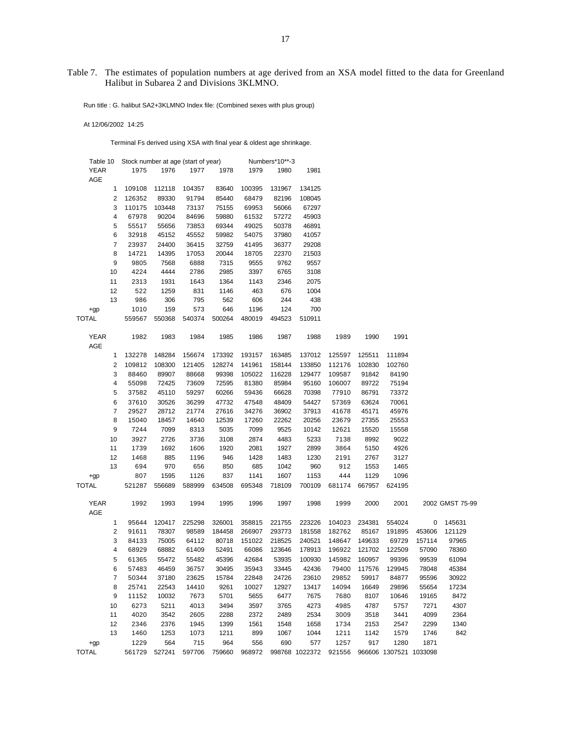# Table 7. The estimates of population numbers at age derived from an XSA model fitted to the data for Greenland Halibut in Subarea 2 and Divisions 3KLMNO.

Run title : G. halibut SA2+3KLMNO Index file: (Combined sexes with plus group)

At 12/06/2002 14:25

Terminal Fs derived using XSA with final year & oldest age shrinkage.

| Table 10                 | Stock number at age (start of year) |        |        |        |        | Numbers*10**-3 |                |        |        |                        |        |                 |
|--------------------------|-------------------------------------|--------|--------|--------|--------|----------------|----------------|--------|--------|------------------------|--------|-----------------|
| <b>YEAR</b>              | 1975                                | 1976   | 1977   | 1978   | 1979   | 1980           | 1981           |        |        |                        |        |                 |
| AGE                      |                                     |        |        |        |        |                |                |        |        |                        |        |                 |
| 1                        | 109108                              | 112118 | 104357 | 83640  | 100395 | 131967         | 134125         |        |        |                        |        |                 |
| 2                        | 126352                              | 89330  | 91794  | 85440  | 68479  | 82196          | 108045         |        |        |                        |        |                 |
| 3                        | 110175                              | 103448 | 73137  | 75155  | 69953  | 56066          | 67297          |        |        |                        |        |                 |
| 4                        | 67978                               | 90204  | 84696  | 59880  | 61532  | 57272          | 45903          |        |        |                        |        |                 |
| 5                        | 55517                               | 55656  | 73853  | 69344  | 49025  | 50378          | 46891          |        |        |                        |        |                 |
| 6                        | 32918                               | 45152  | 45552  | 59982  | 54075  | 37980          | 41057          |        |        |                        |        |                 |
| 7                        | 23937                               | 24400  | 36415  | 32759  | 41495  | 36377          | 29208          |        |        |                        |        |                 |
| 8                        | 14721                               | 14395  | 17053  | 20044  | 18705  | 22370          | 21503          |        |        |                        |        |                 |
| 9                        | 9805                                | 7568   | 6888   | 7315   | 9555   | 9762           | 9557           |        |        |                        |        |                 |
| 10                       | 4224                                | 4444   | 2786   | 2985   | 3397   | 6765           | 3108           |        |        |                        |        |                 |
| 11                       | 2313                                | 1931   | 1643   | 1364   | 1143   | 2346           | 2075           |        |        |                        |        |                 |
| 12                       | 522                                 | 1259   | 831    | 1146   | 463    | 676            | 1004           |        |        |                        |        |                 |
| 13                       | 986                                 | 306    | 795    | 562    | 606    | 244            | 438            |        |        |                        |        |                 |
|                          | 1010                                | 159    | 573    | 646    | 1196   | 124            | 700            |        |        |                        |        |                 |
| $+qp$                    |                                     |        |        |        |        |                |                |        |        |                        |        |                 |
| <b>TOTAL</b>             | 559567                              | 550368 | 540374 | 500264 | 480019 | 494523         | 510911         |        |        |                        |        |                 |
| <b>YEAR</b>              | 1982                                | 1983   | 1984   | 1985   | 1986   | 1987           | 1988           | 1989   | 1990   | 1991                   |        |                 |
| AGE                      |                                     |        |        |        |        |                |                |        |        |                        |        |                 |
| 1                        | 132278                              | 148284 | 156674 | 173392 | 193157 | 163485         | 137012         | 125597 | 125511 | 111894                 |        |                 |
| 2                        | 109812                              | 108300 | 121405 | 128274 | 141961 | 158144         | 133850         | 112176 | 102830 | 102760                 |        |                 |
| 3                        | 88460                               | 89907  | 88668  | 99398  | 105022 | 116228         | 129477         | 109587 | 91842  | 84190                  |        |                 |
| 4                        | 55098                               | 72425  | 73609  | 72595  | 81380  | 85984          | 95160          | 106007 | 89722  | 75194                  |        |                 |
| 5                        | 37582                               | 45110  | 59297  | 60266  | 59436  | 66628          | 70398          | 77910  | 86791  | 73372                  |        |                 |
| 6                        | 37610                               | 30526  | 36299  | 47732  | 47548  | 48409          | 54427          | 57369  | 63624  | 70061                  |        |                 |
| $\overline{\mathcal{I}}$ | 29527                               | 28712  | 21774  | 27616  | 34276  | 36902          | 37913          | 41678  | 45171  | 45976                  |        |                 |
| 8                        | 15040                               | 18457  | 14640  | 12539  | 17260  | 22262          | 20256          | 23679  | 27355  | 25553                  |        |                 |
| 9                        | 7244                                | 7099   | 8313   | 5035   | 7099   | 9525           | 10142          | 12621  | 15520  | 15558                  |        |                 |
| 10                       | 3927                                | 2726   | 3736   | 3108   | 2874   | 4483           | 5233           | 7138   | 8992   | 9022                   |        |                 |
| 11                       | 1739                                | 1692   | 1606   | 1920   | 2081   | 1927           | 2899           | 3864   | 5150   | 4926                   |        |                 |
| 12                       | 1468                                | 885    | 1196   | 946    | 1428   | 1483           | 1230           | 2191   | 2767   | 3127                   |        |                 |
| 13                       | 694                                 | 970    | 656    | 850    | 685    | 1042           | 960            | 912    | 1553   | 1465                   |        |                 |
|                          | 807                                 | 1595   | 1126   | 837    | 1141   | 1607           | 1153           | 444    | 1129   | 1096                   |        |                 |
| $+qp$                    |                                     |        |        |        |        |                |                |        |        |                        |        |                 |
| <b>TOTAL</b>             | 521287                              | 556689 | 588999 | 634508 | 695348 | 718109         | 700109         | 681174 | 667957 | 624195                 |        |                 |
| <b>YEAR</b>              | 1992                                | 1993   | 1994   | 1995   | 1996   | 1997           | 1998           | 1999   | 2000   | 2001                   |        | 2002 GMST 75-99 |
| AGE                      |                                     |        |        |        |        |                |                |        |        |                        |        |                 |
| 1                        | 95644                               | 120417 | 225298 | 326001 | 358815 | 221755         | 223226         | 104023 | 234381 | 554024                 | 0      | 145631          |
| $\overline{\mathbf{c}}$  | 91611                               | 78307  | 98589  | 184458 | 266907 | 293773         | 181558         | 182762 | 85167  | 191895                 | 453606 | 121129          |
| 3                        | 84133                               | 75005  | 64112  | 80718  | 151022 | 218525         | 240521         | 148647 | 149633 | 69729                  | 157114 | 97965           |
| 4                        | 68929                               | 68882  | 61409  | 52491  | 66086  | 123646         | 178913         | 196922 | 121702 | 122509                 | 57090  | 78360           |
| 5                        | 61365                               | 55472  | 55482  | 45396  | 42684  | 53935          | 100930         | 145982 | 160957 | 99396                  | 99539  | 61094           |
| 6                        | 57483                               | 46459  | 36757  | 30495  | 35943  | 33445          | 42436          | 79400  | 117576 | 129945                 | 78048  | 45384           |
| 7                        | 50344                               | 37180  | 23625  | 15784  | 22848  | 24726          | 23610          | 29852  | 59917  | 84877                  | 95596  | 30922           |
| 8                        | 25741                               | 22543  | 14410  | 9261   | 10027  | 12927          | 13417          | 14094  | 16649  | 29896                  | 55654  | 17234           |
| 9                        | 11152                               | 10032  | 7673   | 5701   | 5655   | 6477           | 7675           | 7680   | 8107   | 10646                  | 19165  | 8472            |
| 10                       | 6273                                | 5211   | 4013   | 3494   | 3597   | 3765           | 4273           | 4985   | 4787   | 5757                   | 7271   | 4307            |
| 11                       | 4020                                | 3542   | 2605   | 2288   | 2372   | 2489           | 2534           | 3009   | 3518   | 3441                   | 4099   | 2364            |
| 12                       | 2346                                | 2376   | 1945   | 1399   | 1561   | 1548           | 1658           | 1734   | 2153   | 2547                   | 2299   | 1340            |
| 13                       | 1460                                | 1253   | 1073   | 1211   | 899    | 1067           | 1044           | 1211   | 1142   | 1579                   | 1746   | 842             |
| $+qp$                    | 1229                                | 564    | 715    | 964    | 556    | 690            | 577            | 1257   | 917    | 1280                   | 1871   |                 |
| <b>TOTAL</b>             | 561729                              | 527241 | 597706 | 759660 | 968972 |                | 998768 1022372 | 921556 |        | 966606 1307521 1033098 |        |                 |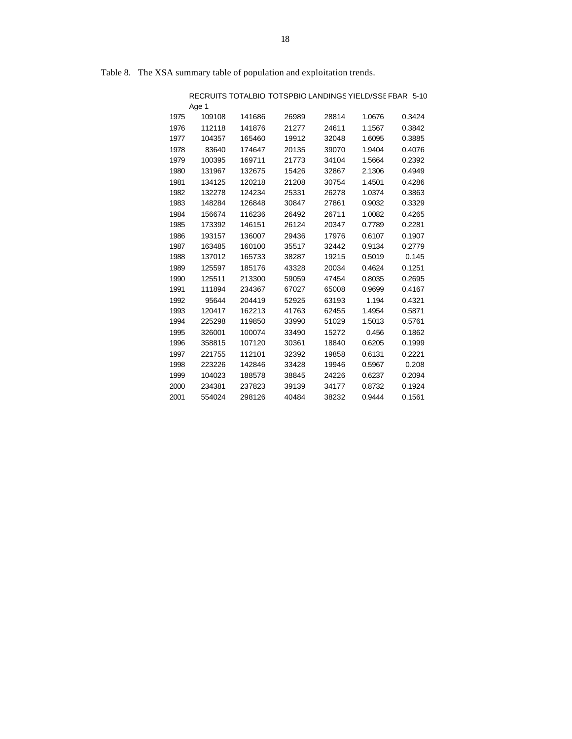|      |        |        | RECRUITS TOTALBIO TOTSPBIO LANDINGS YIELD/SSE FBAR 5-10 |       |        |        |
|------|--------|--------|---------------------------------------------------------|-------|--------|--------|
|      | Age 1  |        |                                                         |       |        |        |
| 1975 | 109108 | 141686 | 26989                                                   | 28814 | 1.0676 | 0.3424 |
| 1976 | 112118 | 141876 | 21277                                                   | 24611 | 1.1567 | 0.3842 |
| 1977 | 104357 | 165460 | 19912                                                   | 32048 | 1.6095 | 0.3885 |
| 1978 | 83640  | 174647 | 20135                                                   | 39070 | 1.9404 | 0.4076 |
| 1979 | 100395 | 169711 | 21773                                                   | 34104 | 1.5664 | 0.2392 |
| 1980 | 131967 | 132675 | 15426                                                   | 32867 | 2.1306 | 0.4949 |
| 1981 | 134125 | 120218 | 21208                                                   | 30754 | 1.4501 | 0.4286 |
| 1982 | 132278 | 124234 | 25331                                                   | 26278 | 1.0374 | 0.3863 |
| 1983 | 148284 | 126848 | 30847                                                   | 27861 | 0.9032 | 0.3329 |
| 1984 | 156674 | 116236 | 26492                                                   | 26711 | 1.0082 | 0.4265 |
| 1985 | 173392 | 146151 | 26124                                                   | 20347 | 0.7789 | 0.2281 |
| 1986 | 193157 | 136007 | 29436                                                   | 17976 | 0.6107 | 0.1907 |
| 1987 | 163485 | 160100 | 35517                                                   | 32442 | 0.9134 | 0.2779 |
| 1988 | 137012 | 165733 | 38287                                                   | 19215 | 0.5019 | 0.145  |
| 1989 | 125597 | 185176 | 43328                                                   | 20034 | 0.4624 | 0.1251 |
| 1990 | 125511 | 213300 | 59059                                                   | 47454 | 0.8035 | 0.2695 |
| 1991 | 111894 | 234367 | 67027                                                   | 65008 | 0.9699 | 0.4167 |
| 1992 | 95644  | 204419 | 52925                                                   | 63193 | 1.194  | 0.4321 |
| 1993 | 120417 | 162213 | 41763                                                   | 62455 | 1.4954 | 0.5871 |
| 1994 | 225298 | 119850 | 33990                                                   | 51029 | 1.5013 | 0.5761 |
| 1995 | 326001 | 100074 | 33490                                                   | 15272 | 0.456  | 0.1862 |
| 1996 | 358815 | 107120 | 30361                                                   | 18840 | 0.6205 | 0.1999 |
| 1997 | 221755 | 112101 | 32392                                                   | 19858 | 0.6131 | 0.2221 |
| 1998 | 223226 | 142846 | 33428                                                   | 19946 | 0.5967 | 0.208  |
| 1999 | 104023 | 188578 | 38845                                                   | 24226 | 0.6237 | 0.2094 |
| 2000 | 234381 | 237823 | 39139                                                   | 34177 | 0.8732 | 0.1924 |
| 2001 | 554024 | 298126 | 40484                                                   | 38232 | 0.9444 | 0.1561 |

Table 8. The XSA summary table of population and exploitation trends.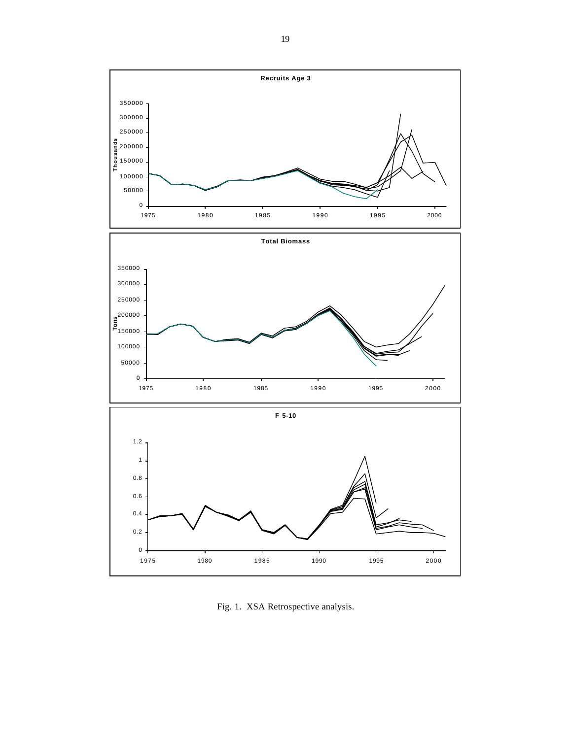Fig. 1. XSA Retrospective analysis.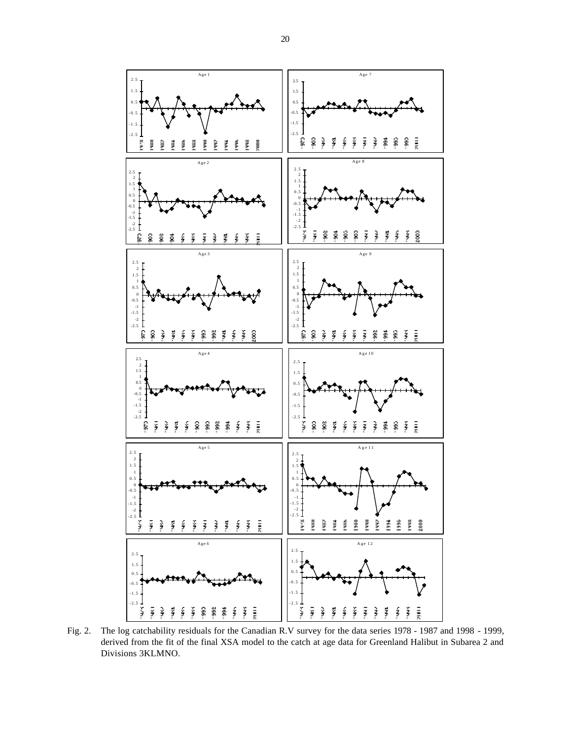

Fig. 2. The log catchability residuals for the Canadian R.V survey for the data series 1978 - 1987 and 1998 - 1999, derived from the fit of the final XSA model to the catch at age data for Greenland Halibut in Subarea 2 and Divisions 3KLMNO.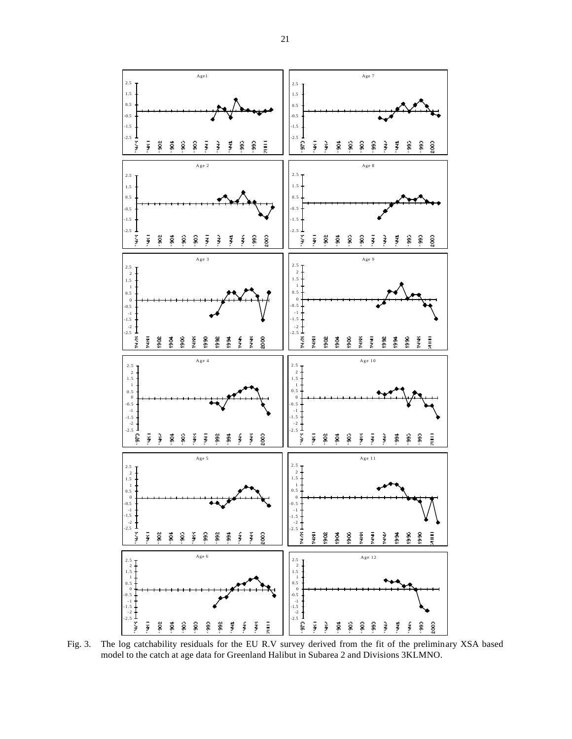

Fig. 3. The log catchability residuals for the EU R.V survey derived from the fit of the preliminary XSA based model to the catch at age data for Greenland Halibut in Subarea 2 and Divisions 3KLMNO.